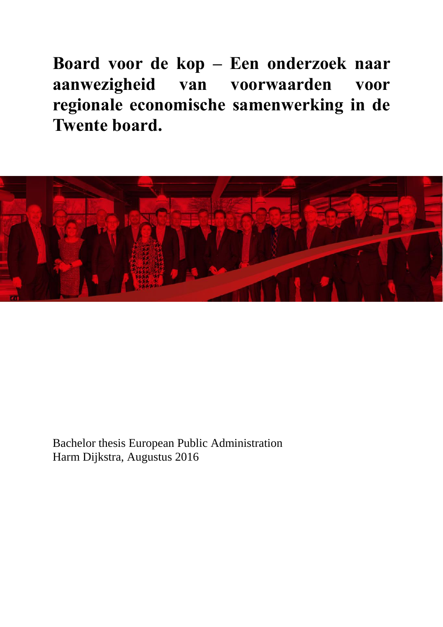**Board voor de kop – Een onderzoek naar aanwezigheid van voorwaarden voor regionale economische samenwerking in de Twente board.**



Bachelor thesis European Public Administration Harm Dijkstra, Augustus 2016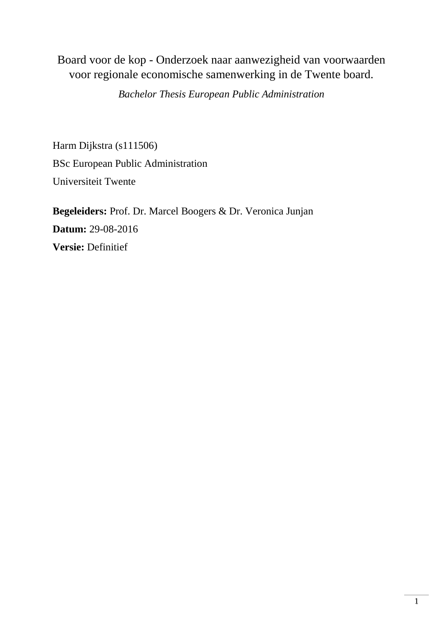# Board voor de kop - Onderzoek naar aanwezigheid van voorwaarden voor regionale economische samenwerking in de Twente board.

*Bachelor Thesis European Public Administration*

Harm Dijkstra (s111506) BSc European Public Administration Universiteit Twente

**Begeleiders:** Prof. Dr. Marcel Boogers & Dr. Veronica Junjan **Datum:** 29-08-2016 **Versie:** Definitief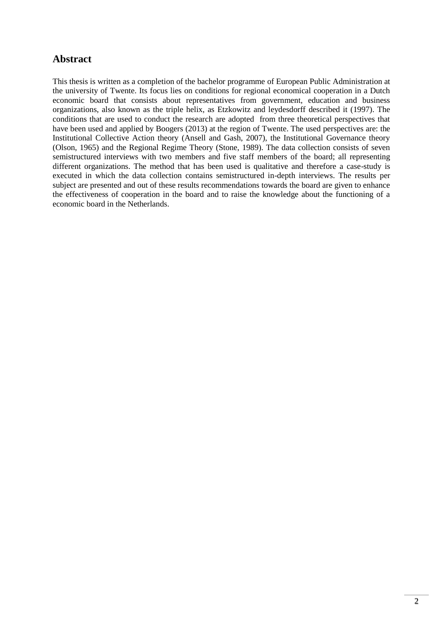# **Abstract**

This thesis is written as a completion of the bachelor programme of European Public Administration at the university of Twente. Its focus lies on conditions for regional economical cooperation in a Dutch economic board that consists about representatives from government, education and business organizations, also known as the triple helix, as Etzkowitz and leydesdorff described it (1997). The conditions that are used to conduct the research are adopted from three theoretical perspectives that have been used and applied by Boogers (2013) at the region of Twente. The used perspectives are: the Institutional Collective Action theory (Ansell and Gash, 2007), the Institutional Governance theory (Olson, 1965) and the Regional Regime Theory (Stone, 1989). The data collection consists of seven semistructured interviews with two members and five staff members of the board; all representing different organizations. The method that has been used is qualitative and therefore a case-study is executed in which the data collection contains semistructured in-depth interviews. The results per subject are presented and out of these results recommendations towards the board are given to enhance the effectiveness of cooperation in the board and to raise the knowledge about the functioning of a economic board in the Netherlands.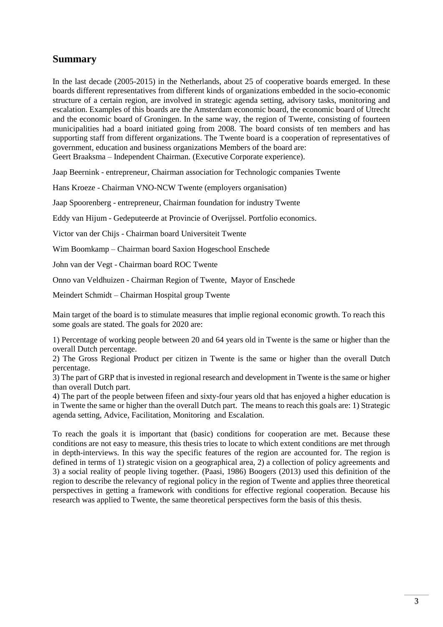## **Summary**

In the last decade (2005-2015) in the Netherlands, about 25 of cooperative boards emerged. In these boards different representatives from different kinds of organizations embedded in the socio-economic structure of a certain region, are involved in strategic agenda setting, advisory tasks, monitoring and escalation. Examples of this boards are the Amsterdam economic board, the economic board of Utrecht and the economic board of Groningen. In the same way, the region of Twente, consisting of fourteen municipalities had a board initiated going from 2008. The board consists of ten members and has supporting staff from different organizations. The Twente board is a cooperation of representatives of government, education and business organizations Members of the board are: Geert Braaksma – Independent Chairman. (Executive Corporate experience).

Jaap Beernink - entrepreneur, Chairman association for Technologic companies Twente

Hans Kroeze - Chairman VNO-NCW Twente (employers organisation)

Jaap Spoorenberg - entrepreneur, Chairman foundation for industry Twente

Eddy van Hijum - Gedeputeerde at Provincie of Overijssel. Portfolio economics.

Victor van der Chijs - Chairman board Universiteit Twente

Wim Boomkamp – Chairman board Saxion Hogeschool Enschede

John van der Vegt - Chairman board ROC Twente

Onno van Veldhuizen - Chairman Region of Twente, Mayor of Enschede

Meindert Schmidt – Chairman Hospital group Twente

Main target of the board is to stimulate measures that implie regional economic growth. To reach this some goals are stated. The goals for 2020 are:

1) Percentage of working people between 20 and 64 years old in Twente is the same or higher than the overall Dutch percentage.

2) The Gross Regional Product per citizen in Twente is the same or higher than the overall Dutch percentage.

3) The part of GRP that is invested in regional research and development in Twente is the same or higher than overall Dutch part.

4) The part of the people between fifeen and sixty-four years old that has enjoyed a higher education is in Twente the same or higher than the overall Dutch part. The means to reach this goals are: 1) Strategic agenda setting, Advice, Facilitation, Monitoring and Escalation.

To reach the goals it is important that (basic) conditions for cooperation are met. Because these conditions are not easy to measure, this thesis tries to locate to which extent conditions are met through in depth-interviews. In this way the specific features of the region are accounted for. The region is defined in terms of 1) strategic vision on a geographical area, 2) a collection of policy agreements and 3) a social reality of people living together. (Paasi, 1986) Boogers (2013) used this definition of the region to describe the relevancy of regional policy in the region of Twente and applies three theoretical perspectives in getting a framework with conditions for effective regional cooperation. Because his research was applied to Twente, the same theoretical perspectives form the basis of this thesis.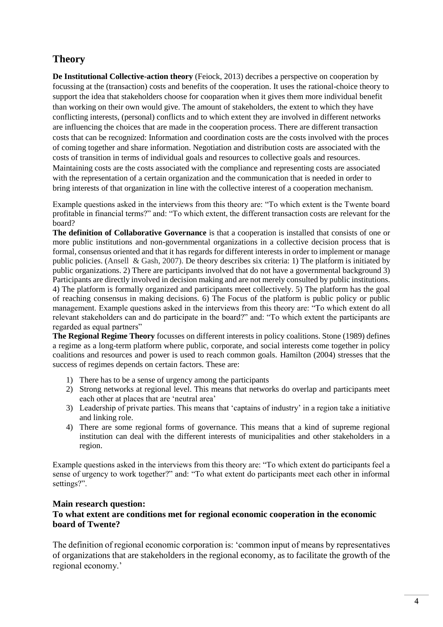# **Theory**

**De Institutional Collective-action theory** (Feiock, 2013) decribes a perspective on cooperation by focussing at the (transaction) costs and benefits of the cooperation. It uses the rational-choice theory to support the idea that stakeholders choose for cooparation when it gives them more individual benefit than working on their own would give. The amount of stakeholders, the extent to which they have conflicting interests, (personal) conflicts and to which extent they are involved in different networks are influencing the choices that are made in the cooperation process. There are different transaction costs that can be recognized: Information and coordination costs are the costs involved with the proces of coming together and share information. Negotiation and distribution costs are associated with the costs of transition in terms of individual goals and resources to collective goals and resources. Maintaining costs are the costs associated with the compliance and representing costs are associated with the representation of a certain organization and the communication that is needed in order to bring interests of that organization in line with the collective interest of a cooperation mechanism.

Example questions asked in the interviews from this theory are: "To which extent is the Twente board profitable in financial terms?" and: "To which extent, the different transaction costs are relevant for the board?

**The definition of Collaborative Governance** is that a cooperation is installed that consists of one or more public institutions and non-governmental organizations in a collective decision process that is formal, consensus oriented and that it has regards for different interests in order to implement or manage public policies. (Ansell & Gash, 2007). De theory describes six criteria: 1) The platform is initiated by public organizations. 2) There are participants involved that do not have a governmental background 3) Participants are directly involved in decision making and are not merely consulted by public institutions. 4) The platform is formally organized and participants meet collectively. 5) The platform has the goal of reaching consensus in making decisions. 6) The Focus of the platform is public policy or public management. Example questions asked in the interviews from this theory are: "To which extent do all relevant stakeholders can and do participate in the board?" and: "To which extent the participants are regarded as equal partners"

**The Regional Regime Theory** focusses on different interests in policy coalitions. Stone (1989) defines a regime as a long-term platform where public, corporate, and social interests come together in policy coalitions and resources and power is used to reach common goals. Hamilton (2004) stresses that the success of regimes depends on certain factors. These are:

- 1) There has to be a sense of urgency among the participants
- 2) Strong networks at regional level. This means that networks do overlap and participants meet each other at places that are 'neutral area'
- 3) Leadership of private parties. This means that 'captains of industry' in a region take a initiative and linking role.
- 4) There are some regional forms of governance. This means that a kind of supreme regional institution can deal with the different interests of municipalities and other stakeholders in a region.

Example questions asked in the interviews from this theory are: "To which extent do participants feel a sense of urgency to work together?" and: "To what extent do participants meet each other in informal settings?".

#### **Main research question:**

## **To what extent are conditions met for regional economic cooperation in the economic board of Twente?**

The definition of regional economic corporation is: 'common input of means by representatives of organizations that are stakeholders in the regional economy, as to facilitate the growth of the regional economy.'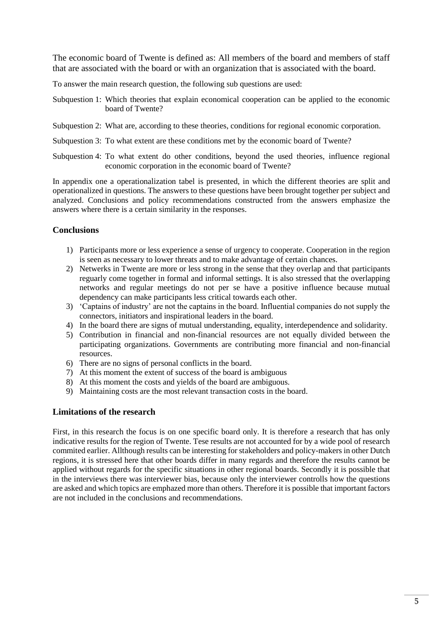The economic board of Twente is defined as: All members of the board and members of staff that are associated with the board or with an organization that is associated with the board.

To answer the main research question, the following sub questions are used:

- Subquestion 1: Which theories that explain economical cooperation can be applied to the economic board of Twente?
- Subquestion 2: What are, according to these theories, conditions for regional economic corporation.
- Subquestion 3: To what extent are these conditions met by the economic board of Twente?
- Subquestion 4: To what extent do other conditions, beyond the used theories, influence regional economic corporation in the economic board of Twente?

In appendix one a operationalization tabel is presented, in which the different theories are split and operationalized in questions. The answers to these questions have been brought together per subject and analyzed. Conclusions and policy recommendations constructed from the answers emphasize the answers where there is a certain similarity in the responses.

#### **Conclusions**

- 1) Participants more or less experience a sense of urgency to cooperate. Cooperation in the region is seen as necessary to lower threats and to make advantage of certain chances.
- 2) Netwerks in Twente are more or less strong in the sense that they overlap and that participants reguarly come together in formal and informal settings. It is also stressed that the overlapping networks and regular meetings do not per se have a positive influence because mutual dependency can make participants less critical towards each other.
- 3) 'Captains of industry' are not the captains in the board. Influential companies do not supply the connectors, initiators and inspirational leaders in the board.
- 4) In the board there are signs of mutual understanding, equality, interdependence and solidarity.
- 5) Contribution in financial and non-financial resources are not equally divided between the participating organizations. Governments are contributing more financial and non-financial resources.
- 6) There are no signs of personal conflicts in the board.
- 7) At this moment the extent of success of the board is ambiguous
- 8) At this moment the costs and yields of the board are ambiguous.
- 9) Maintaining costs are the most relevant transaction costs in the board.

#### **Limitations of the research**

First, in this research the focus is on one specific board only. It is therefore a research that has only indicative results for the region of Twente. Tese results are not accounted for by a wide pool of research commited earlier. Allthough results can be interesting for stakeholders and policy-makers in other Dutch regions, it is stressed here that other boards differ in many regards and therefore the results cannot be applied without regards for the specific situations in other regional boards. Secondly it is possible that in the interviews there was interviewer bias, because only the interviewer controlls how the questions are asked and which topics are emphazed more than others. Therefore it is possible that important factors are not included in the conclusions and recommendations.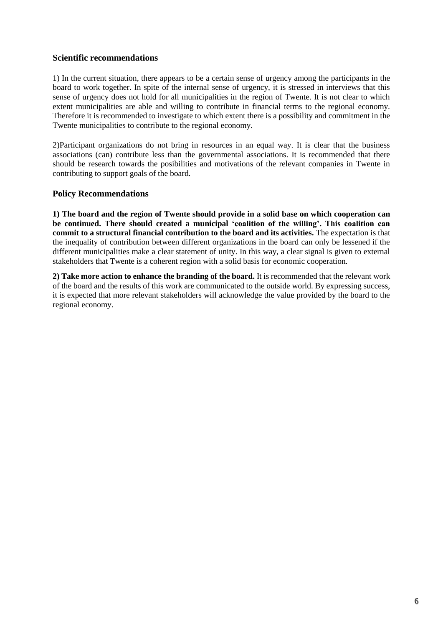#### **Scientific recommendations**

1) In the current situation, there appears to be a certain sense of urgency among the participants in the board to work together. In spite of the internal sense of urgency, it is stressed in interviews that this sense of urgency does not hold for all municipalities in the region of Twente. It is not clear to which extent municipalities are able and willing to contribute in financial terms to the regional economy. Therefore it is recommended to investigate to which extent there is a possibility and commitment in the Twente municipalities to contribute to the regional economy.

2)Participant organizations do not bring in resources in an equal way. It is clear that the business associations (can) contribute less than the governmental associations. It is recommended that there should be research towards the posibilities and motivations of the relevant companies in Twente in contributing to support goals of the board.

#### **Policy Recommendations**

**1) The board and the region of Twente should provide in a solid base on which cooperation can be continued. There should created a municipal 'coalition of the willing'. This coalition can commit to a structural financial contribution to the board and its activities.** The expectation is that the inequality of contribution between different organizations in the board can only be lessened if the different municipalities make a clear statement of unity. In this way, a clear signal is given to external stakeholders that Twente is a coherent region with a solid basis for economic cooperation.

**2) Take more action to enhance the branding of the board.** It is recommended that the relevant work of the board and the results of this work are communicated to the outside world. By expressing success, it is expected that more relevant stakeholders will acknowledge the value provided by the board to the regional economy.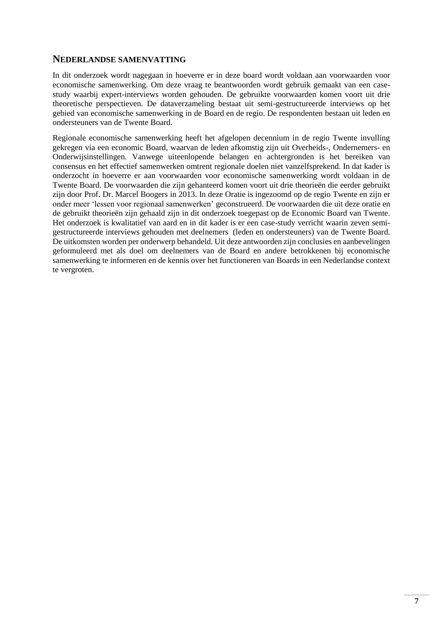## **NEDERLANDSE SAMENVATTING**

In dit onderzoek wordt nagegaan in hoeverre er in deze board wordt voldaan aan voorwaarden voor economische samenwerking. Om deze vraag te beantwoorden wordt gebruik gemaakt van een casestudy waarbij expert-interviews worden gehouden. De gebruikte voorwaarden komen voort uit drie theoretische perspectieven. De dataverzameling bestaat uit semi-gestructureerde interviews op het gebied van economische samenwerking in de Board en de regio. De respondenten bestaan uit leden en ondersteuners van de Twente Board.

Regionale economische samenwerking heeft het afgelopen decennium in de regio Twente invulling gekregen via een economic Board, waarvan de leden afkomstig zijn uit Overheids-, Ondernemers- en Onderwijsinstellingen. Vanwege uiteenlopende belangen en achtergronden is het bereiken van consensus en het effectief samenwerken omtrent regionale doelen niet vanzelfsprekend. In dat kader is onderzocht in hoeverre er aan voorwaarden voor economische samenwerking wordt voldaan in de Twente Board. De voorwaarden die zijn gehanteerd komen voort uit drie theorieën die eerder gebruikt zijn door Prof. Dr. Marcel Boogers in 2013. In deze Oratie is ingezoomd op de regio Twente en zijn er onder meer 'lessen voor regionaal samenwerken' geconstrueerd. De voorwaarden die uit deze oratie en de gebruikt theorieën zijn gehaald zijn in dit onderzoek toegepast op de Economic Board van Twente. Het onderzoek is kwalitatief van aard en in dit kader is er een case-study verricht waarin zeven semigestructureerde interviews gehouden met deelnemers (leden en ondersteuners) van de Twente Board. De uitkomsten worden per onderwerp behandeld. Uit deze antwoorden zijn conclusies en aanbevelingen geformuleerd met als doel om deelnemers van de Board en andere betrokkenen bij economische samenwerking te informeren en de kennis over het functioneren van Boards in een Nederlandse context te vergroten.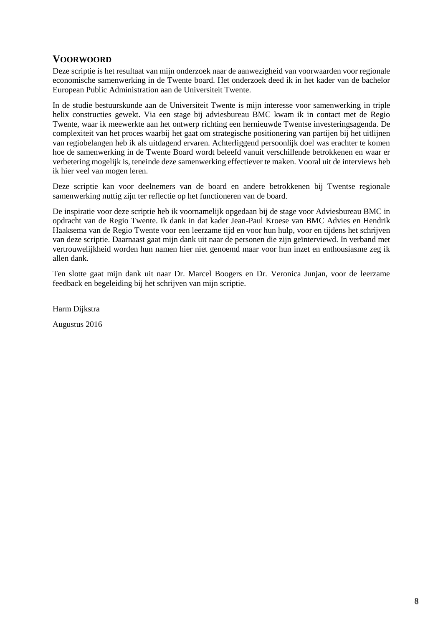## **VOORWOORD**

Deze scriptie is het resultaat van mijn onderzoek naar de aanwezigheid van voorwaarden voor regionale economische samenwerking in de Twente board. Het onderzoek deed ik in het kader van de bachelor European Public Administration aan de Universiteit Twente.

In de studie bestuurskunde aan de Universiteit Twente is mijn interesse voor samenwerking in triple helix constructies gewekt. Via een stage bij adviesbureau BMC kwam ik in contact met de Regio Twente, waar ik meewerkte aan het ontwerp richting een hernieuwde Twentse investeringsagenda. De complexiteit van het proces waarbij het gaat om strategische positionering van partijen bij het uitlijnen van regiobelangen heb ik als uitdagend ervaren. Achterliggend persoonlijk doel was erachter te komen hoe de samenwerking in de Twente Board wordt beleefd vanuit verschillende betrokkenen en waar er verbetering mogelijk is, teneinde deze samenwerking effectiever te maken. Vooral uit de interviews heb ik hier veel van mogen leren.

Deze scriptie kan voor deelnemers van de board en andere betrokkenen bij Twentse regionale samenwerking nuttig zijn ter reflectie op het functioneren van de board.

De inspiratie voor deze scriptie heb ik voornamelijk opgedaan bij de stage voor Adviesbureau BMC in opdracht van de Regio Twente. Ik dank in dat kader Jean-Paul Kroese van BMC Advies en Hendrik Haaksema van de Regio Twente voor een leerzame tijd en voor hun hulp, voor en tijdens het schrijven van deze scriptie. Daarnaast gaat mijn dank uit naar de personen die zijn geïnterviewd. In verband met vertrouwelijkheid worden hun namen hier niet genoemd maar voor hun inzet en enthousiasme zeg ik allen dank.

Ten slotte gaat mijn dank uit naar Dr. Marcel Boogers en Dr. Veronica Junjan, voor de leerzame feedback en begeleiding bij het schrijven van mijn scriptie.

Harm Dijkstra

Augustus 2016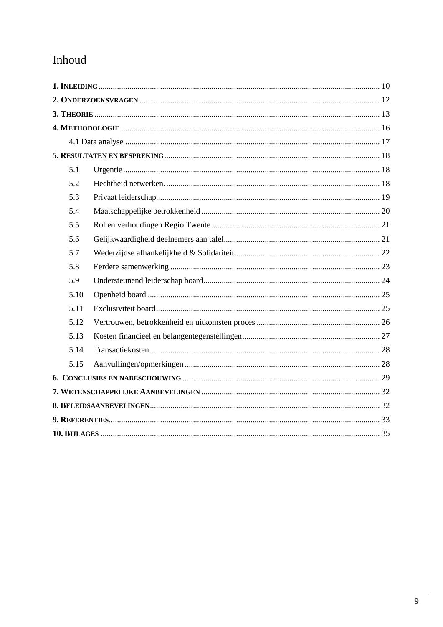# Inhoud

<span id="page-9-0"></span>

| 5.1  |  |  |  |  |
|------|--|--|--|--|
| 5.2  |  |  |  |  |
| 5.3  |  |  |  |  |
| 5.4  |  |  |  |  |
| 5.5  |  |  |  |  |
| 5.6  |  |  |  |  |
| 5.7  |  |  |  |  |
| 5.8  |  |  |  |  |
| 5.9  |  |  |  |  |
| 5.10 |  |  |  |  |
| 5.11 |  |  |  |  |
| 5.12 |  |  |  |  |
| 5.13 |  |  |  |  |
| 5.14 |  |  |  |  |
| 5.15 |  |  |  |  |
|      |  |  |  |  |
|      |  |  |  |  |
|      |  |  |  |  |
|      |  |  |  |  |
|      |  |  |  |  |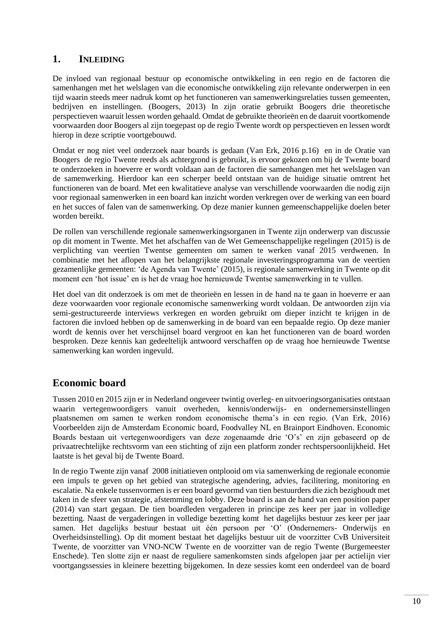## **1. INLEIDING**

De invloed van regionaal bestuur op economische ontwikkeling in een regio en de factoren die samenhangen met het welslagen van die economische ontwikkeling zijn relevante onderwerpen in een tijd waarin steeds meer nadruk komt op het functioneren van samenwerkingsrelaties tussen gemeenten, bedrijven en instellingen. (Boogers, 2013) In zijn oratie gebruikt Boogers drie theoretische perspectieven waaruit lessen worden gehaald. Omdat de gebruikte theorieën en de daaruit voortkomende voorwaarden door Boogers al zijn toegepast op de regio Twente wordt op perspectieven en lessen wordt hierop in deze scriptie voortgebouwd.

Omdat er nog niet veel onderzoek naar boards is gedaan (Van Erk, 2016 p.16) en in de Oratie van Boogers de regio Twente reeds als achtergrond is gebruikt, is ervoor gekozen om bij de Twente board te onderzoeken in hoeverre er wordt voldaan aan de factoren die samenhangen met het welslagen van de samenwerking. Hierdoor kan een scherper beeld ontstaan van de huidige situatie omtrent het functioneren van de board. Met een kwalitatieve analyse van verschillende voorwaarden die nodig zijn voor regionaal samenwerken in een board kan inzicht worden verkregen over de werking van een board en het succes of falen van de samenwerking. Op deze manier kunnen gemeenschappelijke doelen beter worden bereikt.

De rollen van verschillende regionale samenwerkingsorganen in Twente zijn onderwerp van discussie op dit moment in Twente. Met het afschaffen van de Wet Gemeenschappelijke regelingen (2015) is de verplichting van veertien Twentse gemeenten om samen te werken vanaf 2015 verdwenen. In combinatie met het aflopen van het belangrijkste regionale investeringsprogramma van de veertien gezamenlijke gemeenten: 'de Agenda van Twente' (2015), is regionale samenwerking in Twente op dit moment een 'hot issue' en is het de vraag hoe hernieuwde Twentse samenwerking in te vullen.

Het doel van dit onderzoek is om met de theorieën en lessen in de hand na te gaan in hoeverre er aan deze voorwaarden voor regionale economische samenwerking wordt voldaan. De antwoorden zijn via semi-gestructureerde interviews verkregen en worden gebruikt om dieper inzicht te krijgen in de factoren die invloed hebben op de samenwerking in de board van een bepaalde regio. Op deze manier wordt de kennis over het verschijnsel board vergroot en kan het functioneren van de board worden besproken. Deze kennis kan gedeeltelijk antwoord verschaffen op de vraag hoe hernieuwde Twentse samenwerking kan worden ingevuld.

# **Economic board**

Tussen 2010 en 2015 zijn er in Nederland ongeveer twintig overleg- en uitvoeringsorganisaties ontstaan waarin vertegenwoordigers vanuit overheden, kennis/onderwijs- en ondernemersinstellingen plaatsnemen om samen te werken rondom economische thema's in een regio. (Van Erk, 2016) Voorbeelden zijn de Amsterdam Economic board, Foodvalley NL en Brainport Eindhoven. Economic Boards bestaan uit vertegenwoordigers van deze zogenaamde drie 'O's' en zijn gebaseerd op de privaatrechtelijke rechtsvorm van een stichting of zijn een platform zonder rechtspersoonlijkheid. Het laatste is het geval bij de Twente Board.

In de regio Twente zijn vanaf 2008 initiatieven ontplooid om via samenwerking de regionale economie een impuls te geven op het gebied van strategische agendering, advies, facilitering, monitoring en escalatie. Na enkele tussenvormen is er een board gevormd van tien bestuurders die zich bezighoudt met taken in de sfeer van strategie, afstemming en lobby. Deze board is aan de hand van een position paper (2014) van start gegaan. De tien boardleden vergaderen in principe zes keer per jaar in volledige bezetting. Naast de vergaderingen in volledige bezetting komt het dagelijks bestuur zes keer per jaar samen. Het dagelijks bestuur bestaat uit één persoon per 'O' (Ondernemers- Onderwijs en Overheidsinstelling). Op dit moment bestaat het dagelijks bestuur uit de voorzitter CvB Universiteit Twente, de voorzitter van VNO-NCW Twente en de voorzitter van de regio Twente (Burgemeester Enschede). Ten slotte zijn er naast de reguliere samenkomsten sinds afgelopen jaar per actielijn vier voortgangssessies in kleinere bezetting bijgekomen. In deze sessies komt een onderdeel van de board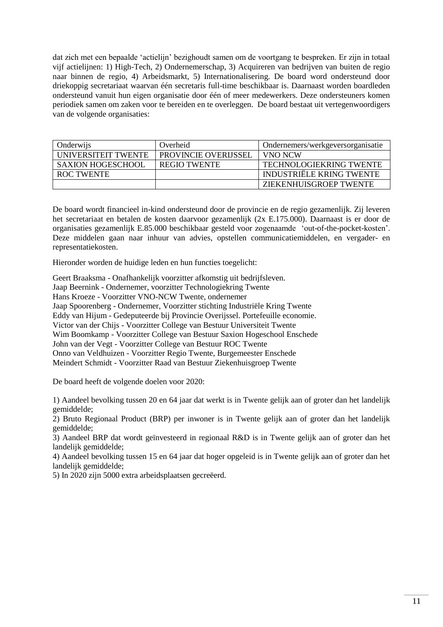dat zich met een bepaalde 'actielijn' bezighoudt samen om de voortgang te bespreken. Er zijn in totaal vijf actielijnen: 1) High-Tech, 2) Ondernemerschap, 3) Acquireren van bedrijven van buiten de regio naar binnen de regio, 4) Arbeidsmarkt, 5) Internationalisering. De board word ondersteund door driekoppig secretariaat waarvan één secretaris full-time beschikbaar is. Daarnaast worden boardleden ondersteund vanuit hun eigen organisatie door één of meer medewerkers. Deze ondersteuners komen periodiek samen om zaken voor te bereiden en te overleggen. De board bestaat uit vertegenwoordigers van de volgende organisaties:

| Onderwijs                  | Overheid                    | Ondernemers/werkgeversorganisatie |
|----------------------------|-----------------------------|-----------------------------------|
| <b>UNIVERSITEIT TWENTE</b> | <b>PROVINCIE OVERLISSEL</b> | VNO NCW                           |
| SAXION HOGESCHOOL          | REGIO TWENTE                | TECHNOLOGIEKRING TWENTE           |
| ROC TWENTE                 |                             | INDUSTRIËLE KRING TWENTE          |
|                            |                             | <b>ZIEKENHUISGROEP TWENTE</b>     |

De board wordt financieel in-kind ondersteund door de provincie en de regio gezamenlijk. Zij leveren het secretariaat en betalen de kosten daarvoor gezamenlijk (2x E.175.000). Daarnaast is er door de organisaties gezamenlijk E.85.000 beschikbaar gesteld voor zogenaamde 'out-of-the-pocket-kosten'. Deze middelen gaan naar inhuur van advies, opstellen communicatiemiddelen, en vergader- en representatiekosten.

Hieronder worden de huidige leden en hun functies toegelicht:

Geert Braaksma - Onafhankelijk voorzitter afkomstig uit bedrijfsleven. Jaap Beernink - Ondernemer, voorzitter Technologiekring Twente Hans Kroeze - Voorzitter VNO-NCW Twente, ondernemer Jaap Spoorenberg - Ondernemer, Voorzitter stichting Industriële Kring Twente Eddy van Hijum - Gedeputeerde bij Provincie Overijssel. Portefeuille economie. Victor van der Chijs - Voorzitter College van Bestuur Universiteit Twente Wim Boomkamp - Voorzitter College van Bestuur Saxion Hogeschool Enschede John van der Vegt - Voorzitter College van Bestuur ROC Twente Onno van Veldhuizen - Voorzitter Regio Twente, Burgemeester Enschede Meindert Schmidt - Voorzitter Raad van Bestuur Ziekenhuisgroep Twente

De board heeft de volgende doelen voor 2020:

1) Aandeel bevolking tussen 20 en 64 jaar dat werkt is in Twente gelijk aan of groter dan het landelijk gemiddelde;

2) Bruto Regionaal Product (BRP) per inwoner is in Twente gelijk aan of groter dan het landelijk gemiddelde;

3) Aandeel BRP dat wordt geïnvesteerd in regionaal R&D is in Twente gelijk aan of groter dan het landelijk gemiddelde;

4) Aandeel bevolking tussen 15 en 64 jaar dat hoger opgeleid is in Twente gelijk aan of groter dan het landelijk gemiddelde;

<span id="page-11-0"></span>5) In 2020 zijn 5000 extra arbeidsplaatsen gecreëerd.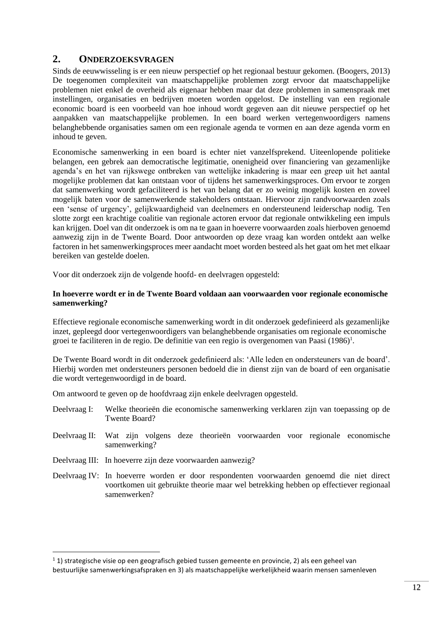## **2. ONDERZOEKSVRAGEN**

Sinds de eeuwwisseling is er een nieuw perspectief op het regionaal bestuur gekomen. (Boogers, 2013) De toegenomen complexiteit van maatschappelijke problemen zorgt ervoor dat maatschappelijke problemen niet enkel de overheid als eigenaar hebben maar dat deze problemen in samenspraak met instellingen, organisaties en bedrijven moeten worden opgelost. De instelling van een regionale economic board is een voorbeeld van hoe inhoud wordt gegeven aan dit nieuwe perspectief op het aanpakken van maatschappelijke problemen. In een board werken vertegenwoordigers namens belanghebbende organisaties samen om een regionale agenda te vormen en aan deze agenda vorm en inhoud te geven.

Economische samenwerking in een board is echter niet vanzelfsprekend. Uiteenlopende politieke belangen, een gebrek aan democratische legitimatie, onenigheid over financiering van gezamenlijke agenda's en het van rijkswege ontbreken van wettelijke inkadering is maar een greep uit het aantal mogelijke problemen dat kan ontstaan voor of tijdens het samenwerkingsproces. Om ervoor te zorgen dat samenwerking wordt gefaciliteerd is het van belang dat er zo weinig mogelijk kosten en zoveel mogelijk baten voor de samenwerkende stakeholders ontstaan. Hiervoor zijn randvoorwaarden zoals een 'sense of urgency', gelijkwaardigheid van deelnemers en ondersteunend leiderschap nodig. Ten slotte zorgt een krachtige coalitie van regionale actoren ervoor dat regionale ontwikkeling een impuls kan krijgen. Doel van dit onderzoek is om na te gaan in hoeverre voorwaarden zoals hierboven genoemd aanwezig zijn in de Twente Board. Door antwoorden op deze vraag kan worden ontdekt aan welke factoren in het samenwerkingsproces meer aandacht moet worden besteed als het gaat om het met elkaar bereiken van gestelde doelen.

Voor dit onderzoek zijn de volgende hoofd- en deelvragen opgesteld:

#### **In hoeverre wordt er in de Twente Board voldaan aan voorwaarden voor regionale economische samenwerking?**

Effectieve regionale economische samenwerking wordt in dit onderzoek gedefinieerd als gezamenlijke inzet, gepleegd door vertegenwoordigers van belanghebbende organisaties om regionale economische groei te faciliteren in de regio. De definitie van een regio is overgenomen van Paasi (1986)<sup>1</sup>.

De Twente Board wordt in dit onderzoek gedefinieerd als: 'Alle leden en ondersteuners van de board'. Hierbij worden met ondersteuners personen bedoeld die in dienst zijn van de board of een organisatie die wordt vertegenwoordigd in de board.

Om antwoord te geven op de hoofdvraag zijn enkele deelvragen opgesteld.

- Deelvraag I: Welke theorieën die economische samenwerking verklaren zijn van toepassing op de Twente Board?
- Deelvraag II: Wat zijn volgens deze theorieën voorwaarden voor regionale economische samenwerking?
- Deelvraag III: In hoeverre zijn deze voorwaarden aanwezig?

1

<span id="page-12-0"></span>Deelvraag IV: In hoeverre worden er door respondenten voorwaarden genoemd die niet direct voortkomen uit gebruikte theorie maar wel betrekking hebben op effectiever regionaal samenwerken?

 $1$  1) strategische visie op een geografisch gebied tussen gemeente en provincie, 2) als een geheel van bestuurlijke samenwerkingsafspraken en 3) als maatschappelijke werkelijkheid waarin mensen samenleven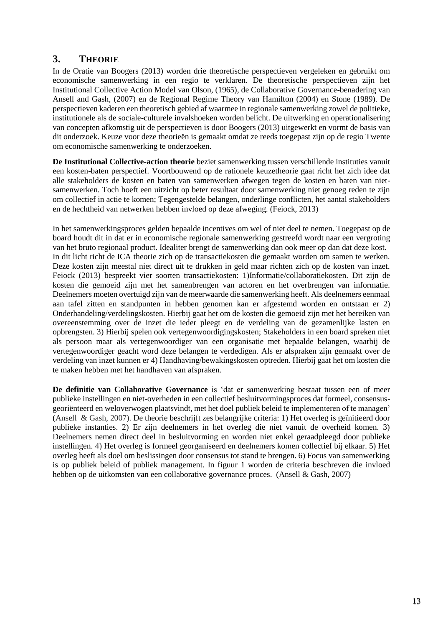## **3. THEORIE**

In de Oratie van Boogers (2013) worden drie theoretische perspectieven vergeleken en gebruikt om economische samenwerking in een regio te verklaren. De theoretische perspectieven zijn het Institutional Collective Action Model van Olson, (1965), de Collaborative Governance-benadering van Ansell and Gash, (2007) en de Regional Regime Theory van Hamilton (2004) en Stone (1989). De perspectieven kaderen een theoretisch gebied af waarmee in regionale samenwerking zowel de politieke, institutionele als de sociale-culturele invalshoeken worden belicht. De uitwerking en operationalisering van concepten afkomstig uit de perspectieven is door Boogers (2013) uitgewerkt en vormt de basis van dit onderzoek. Keuze voor deze theorieën is gemaakt omdat ze reeds toegepast zijn op de regio Twente om economische samenwerking te onderzoeken.

**De Institutional Collective-action theorie** beziet samenwerking tussen verschillende instituties vanuit een kosten-baten perspectief. Voortbouwend op de rationele keuzetheorie gaat richt het zich idee dat alle stakeholders de kosten en baten van samenwerken afwegen tegen de kosten en baten van nietsamenwerken. Toch hoeft een uitzicht op beter resultaat door samenwerking niet genoeg reden te zijn om collectief in actie te komen; Tegengestelde belangen, onderlinge conflicten, het aantal stakeholders en de hechtheid van netwerken hebben invloed op deze afweging. (Feiock, 2013)

In het samenwerkingsproces gelden bepaalde incentives om wel of niet deel te nemen. Toegepast op de board houdt dit in dat er in economische regionale samenwerking gestreefd wordt naar een vergroting van het bruto regionaal product. Idealiter brengt de samenwerking dan ook meer op dan dat deze kost. In dit licht richt de ICA theorie zich op de transactiekosten die gemaakt worden om samen te werken. Deze kosten zijn meestal niet direct uit te drukken in geld maar richten zich op de kosten van inzet. Feiock (2013) bespreekt vier soorten transactiekosten: 1)Informatie/collaboratiekosten. Dit zijn de kosten die gemoeid zijn met het samenbrengen van actoren en het overbrengen van informatie. Deelnemers moeten overtuigd zijn van de meerwaarde die samenwerking heeft. Als deelnemers eenmaal aan tafel zitten en standpunten in hebben genomen kan er afgestemd worden en ontstaan er 2) Onderhandeling/verdelingskosten. Hierbij gaat het om de kosten die gemoeid zijn met het bereiken van overeenstemming over de inzet die ieder pleegt en de verdeling van de gezamenlijke lasten en opbrengsten. 3) Hierbij spelen ook vertegenwoordigingskosten; Stakeholders in een board spreken niet als persoon maar als vertegenwoordiger van een organisatie met bepaalde belangen, waarbij de vertegenwoordiger geacht word deze belangen te verdedigen. Als er afspraken zijn gemaakt over de verdeling van inzet kunnen er 4) Handhaving/bewakingskosten optreden. Hierbij gaat het om kosten die te maken hebben met het handhaven van afspraken.

**De definitie van Collaborative Governance** is 'dat er samenwerking bestaat tussen een of meer publieke instellingen en niet-overheden in een collectief besluitvormingsproces dat formeel, consensusgeoriënteerd en weloverwogen plaatsvindt, met het doel publiek beleid te implementeren of te managen' (Ansell & Gash, 2007). De theorie beschrijft zes belangrijke criteria: 1) Het overleg is geïnitieerd door publieke instanties. 2) Er zijn deelnemers in het overleg die niet vanuit de overheid komen. 3) Deelnemers nemen direct deel in besluitvorming en worden niet enkel geraadpleegd door publieke instellingen. 4) Het overleg is formeel georganiseerd en deelnemers komen collectief bij elkaar. 5) Het overleg heeft als doel om beslissingen door consensus tot stand te brengen. 6) Focus van samenwerking is op publiek beleid of publiek management. In figuur 1 worden de criteria beschreven die invloed hebben op de uitkomsten van een collaborative governance proces. (Ansell & Gash, 2007)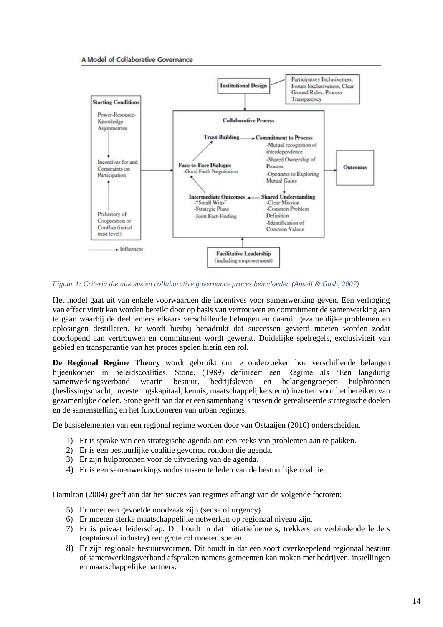#### A Model of Collaborative Governance



*Figuur 1: Criteria die uitkomsten collaborative governance proces beïnvloeden (Ansell & Gash, 2007)*

Het model gaat uit van enkele voorwaarden die incentives voor samenwerking geven. Een verhoging van effectiviteit kan worden bereikt door op basis van vertrouwen en commitment de samenwerking aan te gaan waarbij de deelnemers elkaars verschillende belangen en daaruit gezamenlijke problemen en oplosingen destilleren. Er wordt hierbij benadrukt dat successen gevierd moeten worden zodat doorlopend aan vertrouwen en commitment wordt gewerkt. Duidelijke spelregels, exclusiviteit van gebied en transparantie van het proces spelen hierin een rol.

**De Regional Regime Theory** wordt gebruikt om te onderzoeken hoe verschillende belangen bijeenkomen in beleidscoalities. Stone, (1989) definieert een Regime als 'Een langdurig samenwerkingsverband waarin bestuur, bedrijfsleven en belangengroepen hulpbronnen (beslissingsmacht, investeringskapitaal, kennis, maatschappelijke steun) inzetten voor het bereiken van gezamenlijke doelen. Stone geeft aan dat er een samenhang is tussen de gerealiseerde strategische doelen en de samenstelling en het functioneren van urban regimes.

De basiselementen van een regional regime worden door van Ostaaijen (2010) onderscheiden.

- 1) Er is sprake van een strategische agenda om een reeks van problemen aan te pakken.
- 2) Er is een bestuurlijke coalitie gevormd rondom die agenda.
- 3) Er zijn hulpbronnen voor de uitvoering van de agenda.
- 4) Er is een samenwerkingsmodus tussen te leden van de bestuurlijke coalitie.

Hamilton (2004) geeft aan dat het succes van regimes afhangt van de volgende factoren:

- 5) Er moet een gevoelde noodzaak zijn (sense of urgency)
- 6) Er moeten sterke maatschappelijke netwerken op regionaal niveau zijn.
- 7) Er is privaat leiderschap. Dit houdt in dat initiatiefnemers, trekkers en verbindende leiders (captains of industry) een grote rol moeten spelen.
- 8) Er zijn regionale bestuursvormen. Dit houdt in dat een soort overkoepelend regionaal bestuur of samenwerkingsverband afspraken namens gemeenten kan maken met bedrijven, instellingen en maatschappelijke partners.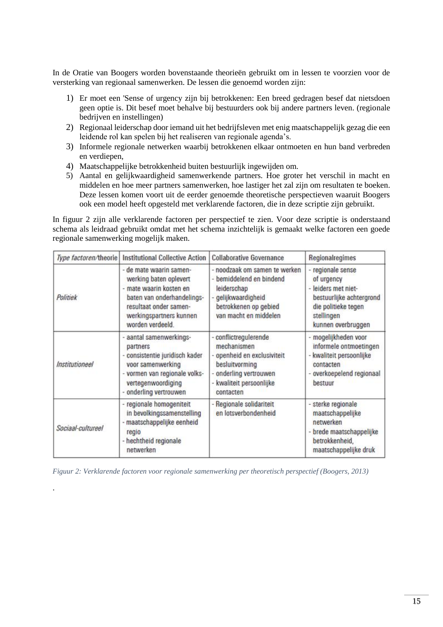In de Oratie van Boogers worden bovenstaande theorieën gebruikt om in lessen te voorzien voor de versterking van regionaal samenwerken. De lessen die genoemd worden zijn:

- 1) Er moet een 'Sense of urgency zijn bij betrokkenen: Een breed gedragen besef dat nietsdoen geen optie is. Dit besef moet behalve bij bestuurders ook bij andere partners leven. (regionale bedrijven en instellingen)
- 2) Regionaal leiderschap door iemand uit het bedrijfsleven met enig maatschappelijk gezag die een leidende rol kan spelen bij het realiseren van regionale agenda's.
- 3) Informele regionale netwerken waarbij betrokkenen elkaar ontmoeten en hun band verbreden en verdiepen,
- 4) Maatschappelijke betrokkenheid buiten bestuurlijk ingewijden om.
- 5) Aantal en gelijkwaardigheid samenwerkende partners. Hoe groter het verschil in macht en middelen en hoe meer partners samenwerken, hoe lastiger het zal zijn om resultaten te boeken. Deze lessen komen voort uit de eerder genoemde theoretische perspectieven waaruit Boogers ook een model heeft opgesteld met verklarende factoren, die in deze scriptie zijn gebruikt.

In figuur 2 zijn alle verklarende factoren per perspectief te zien. Voor deze scriptie is onderstaand schema als leidraad gebruikt omdat met het schema inzichtelijk is gemaakt welke factoren een goede regionale samenwerking mogelijk maken.

| Type factoren/theorie | <b>Institutional Collective Action</b>                                                                                                                                            | <b>Collaborative Governance</b>                                                                                                                      | Regionalregimes                                                                                                                             |
|-----------------------|-----------------------------------------------------------------------------------------------------------------------------------------------------------------------------------|------------------------------------------------------------------------------------------------------------------------------------------------------|---------------------------------------------------------------------------------------------------------------------------------------------|
| Politiek              | - de mate waarin samen-<br>werking baten oplevert<br>mate waarin kosten en<br>baten van onderhandelings-<br>resultaat onder samen-<br>werkingspartners kunnen<br>worden verdeeld. | - noodzaak om samen te werken<br>- bemiddelend en bindend<br>leiderschap<br>gelijkwaardigheid<br>betrokkenen op gebied<br>van macht en middelen      | - regionale sense<br>of urgency<br>leiders met niet-<br>bestuurlijke achtergrond<br>die politieke tegen<br>stellingen<br>kunnen overbruggen |
| <b>Institutioneel</b> | aantal samenwerkings-<br>partners<br>consistentie juridisch kader<br>voor samenwerking<br>- vormen van regionale volks-<br>vertegenwoordiging<br>- onderling vertrouwen           | - conflictregulerende<br>mechanismen<br>openheid en exclusiviteit<br>besluitvorming<br>onderling vertrouwen<br>- kwaliteit persoonlijke<br>contacten | mogelijkheden voor<br>informele ontmoetingen<br>kwaliteit persoonlijke<br>contacten<br>overkoepelend regionaal<br>bestuur                   |
| Sociaal-cultureel     | - regionale homogeniteit<br>in bevolkingssamenstelling<br>- maatschappelijke eenheid<br>regio<br>- hechtheid regionale<br>netwerken                                               | - Regionale solidariteit<br>en lotsverbondenheid                                                                                                     | - sterke regionale<br>maatschappelijke<br>netwerken<br>- brede maatschappelijke<br>betrokkenheid,<br>maatschappelijke druk                  |

*Figuur 2: Verklarende factoren voor regionale samenwerking per theoretisch perspectief (Boogers, 2013)*

<span id="page-15-0"></span>.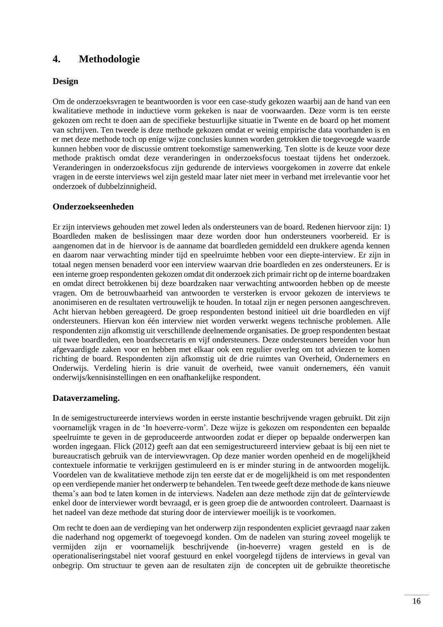## **4. Methodologie**

## **Design**

Om de onderzoeksvragen te beantwoorden is voor een case-study gekozen waarbij aan de hand van een kwalitatieve methode in inductieve vorm gekeken is naar de voorwaarden. Deze vorm is ten eerste gekozen om recht te doen aan de specifieke bestuurlijke situatie in Twente en de board op het moment van schrijven. Ten tweede is deze methode gekozen omdat er weinig empirische data voorhanden is en er met deze methode toch op enige wijze conclusies kunnen worden getrokken die toegevoegde waarde kunnen hebben voor de discussie omtrent toekomstige samenwerking. Ten slotte is de keuze voor deze methode praktisch omdat deze veranderingen in onderzoeksfocus toestaat tijdens het onderzoek. Veranderingen in onderzoeksfocus zijn gedurende de interviews voorgekomen in zoverre dat enkele vragen in de eerste interviews wel zijn gesteld maar later niet meer in verband met irrelevantie voor het onderzoek of dubbelzinnigheid.

## **Onderzoekseenheden**

Er zijn interviews gehouden met zowel leden als ondersteuners van de board. Redenen hiervoor zijn: 1) Boardleden maken de beslissingen maar deze worden door hun ondersteuners voorbereid. Er is aangenomen dat in de hiervoor is de aanname dat boardleden gemiddeld een drukkere agenda kennen en daarom naar verwachting minder tijd en speelruimte hebben voor een diepte-interview. Er zijn in totaal negen mensen benaderd voor een interview waarvan drie boardleden en zes ondersteuners. Er is een interne groep respondenten gekozen omdat dit onderzoek zich primair richt op de interne boardzaken en omdat direct betrokkenen bij deze boardzaken naar verwachting antwoorden hebben op de meeste vragen. Om de betrouwbaarheid van antwoorden te versterken is ervoor gekozen de interviews te anonimiseren en de resultaten vertrouwelijk te houden. In totaal zijn er negen personen aangeschreven. Acht hiervan hebben gereageerd. De groep respondenten bestond initieel uit drie boardleden en vijf ondersteuners. Hiervan kon één interview niet worden verwerkt wegens technische problemen. Alle respondenten zijn afkomstig uit verschillende deelnemende organisaties. De groep respondenten bestaat uit twee boardleden, een boardsecretaris en vijf ondersteuners. Deze ondersteuners bereiden voor hun afgevaardigde zaken voor en hebben met elkaar ook een regulier overleg om tot adviezen te komen richting de board. Respondenten zijn afkomstig uit de drie ruimtes van Overheid, Ondernemers en Onderwijs. Verdeling hierin is drie vanuit de overheid, twee vanuit ondernemers, één vanuit onderwijs/kennisinstellingen en een onafhankelijke respondent.

#### **Dataverzameling.**

In de semigestructureerde interviews worden in eerste instantie beschrijvende vragen gebruikt. Dit zijn voornamelijk vragen in de 'In hoeverre-vorm'. Deze wijze is gekozen om respondenten een bepaalde speelruimte te geven in de geproduceerde antwoorden zodat er dieper op bepaalde onderwerpen kan worden ingegaan. Flick (2012) geeft aan dat een semigestructureerd interview gebaat is bij een niet te bureaucratisch gebruik van de interviewvragen. Op deze manier worden openheid en de mogelijkheid contextuele informatie te verkrijgen gestimuleerd en is er minder sturing in de antwoorden mogelijk. Voordelen van de kwalitatieve methode zijn ten eerste dat er de mogelijkheid is om met respondenten op een verdiepende manier het onderwerp te behandelen. Ten tweede geeft deze methode de kans nieuwe thema's aan bod te laten komen in de interviews. Nadelen aan deze methode zijn dat de geïnterviewde enkel door de interviewer wordt bevraagd, er is geen groep die de antwoorden controleert. Daarnaast is het nadeel van deze methode dat sturing door de interviewer moeilijk is te voorkomen.

Om recht te doen aan de verdieping van het onderwerp zijn respondenten expliciet gevraagd naar zaken die naderhand nog opgemerkt of toegevoegd konden. Om de nadelen van sturing zoveel mogelijk te vermijden zijn er voornamelijk beschrijvende (in-hoeverre) vragen gesteld en is de operationaliseringstabel niet vooraf gestuurd en enkel voorgelegd tijdens de interviews in geval van onbegrip. Om structuur te geven aan de resultaten zijn de concepten uit de gebruikte theoretische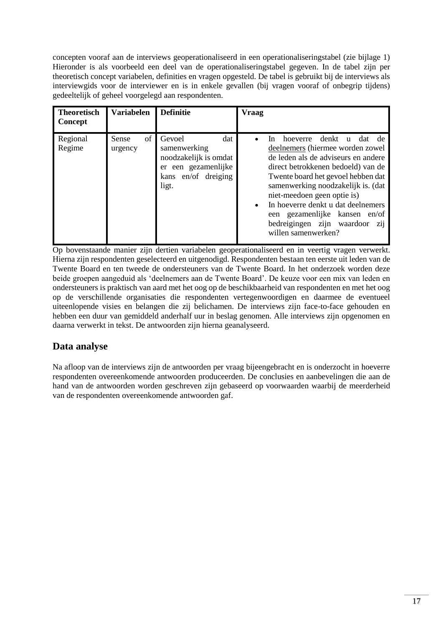concepten vooraf aan de interviews geoperationaliseerd in een operationaliseringstabel (zie bijlage 1) Hieronder is als voorbeeld een deel van de operationaliseringstabel gegeven. In de tabel zijn per theoretisch concept variabelen, definities en vragen opgesteld. De tabel is gebruikt bij de interviews als interviewgids voor de interviewer en is in enkele gevallen (bij vragen vooraf of onbegrip tijdens) gedeeltelijk of geheel voorgelegd aan respondenten.

| <b>Theoretisch</b><br>Concept | <b>Variabelen</b>      | <b>Definitie</b>                                                                                              | <b>Vraag</b>                                                                                                                                                                                                                                                                                                                                                                                                                      |
|-------------------------------|------------------------|---------------------------------------------------------------------------------------------------------------|-----------------------------------------------------------------------------------------------------------------------------------------------------------------------------------------------------------------------------------------------------------------------------------------------------------------------------------------------------------------------------------------------------------------------------------|
| Regional<br>Regime            | of<br>Sense<br>urgency | Gevoel<br>dat<br>samenwerking<br>noodzakelijk is omdat<br>er een gezamenlijke<br>kans en/of dreiging<br>ligt. | denkt<br>hoeverre<br>dat<br>de<br>In.<br>$\mathbf{u}$<br>deelnemers (hiermee worden zowel<br>de leden als de adviseurs en andere<br>direct betrokkenen bedoeld) van de<br>Twente board het gevoel hebben dat<br>samenwerking noodzakelijk is. (dat<br>niet-meedoen geen optie is)<br>In hoeverre denkt u dat deelnemers<br>$\bullet$<br>een gezamenlijke kansen en/of<br>bedreigingen zijn waardoor<br>Z11<br>willen samenwerken? |

Op bovenstaande manier zijn dertien variabelen geoperationaliseerd en in veertig vragen verwerkt. Hierna zijn respondenten geselecteerd en uitgenodigd. Respondenten bestaan ten eerste uit leden van de Twente Board en ten tweede de ondersteuners van de Twente Board. In het onderzoek worden deze beide groepen aangeduid als 'deelnemers aan de Twente Board'. De keuze voor een mix van leden en ondersteuners is praktisch van aard met het oog op de beschikbaarheid van respondenten en met het oog op de verschillende organisaties die respondenten vertegenwoordigen en daarmee de eventueel uiteenlopende visies en belangen die zij belichamen. De interviews zijn face-to-face gehouden en hebben een duur van gemiddeld anderhalf uur in beslag genomen. Alle interviews zijn opgenomen en daarna verwerkt in tekst. De antwoorden zijn hierna geanalyseerd.

# <span id="page-17-0"></span>**Data analyse**

<span id="page-17-1"></span>Na afloop van de interviews zijn de antwoorden per vraag bijeengebracht en is onderzocht in hoeverre respondenten overeenkomende antwoorden produceerden. De conclusies en aanbevelingen die aan de hand van de antwoorden worden geschreven zijn gebaseerd op voorwaarden waarbij de meerderheid van de respondenten overeenkomende antwoorden gaf.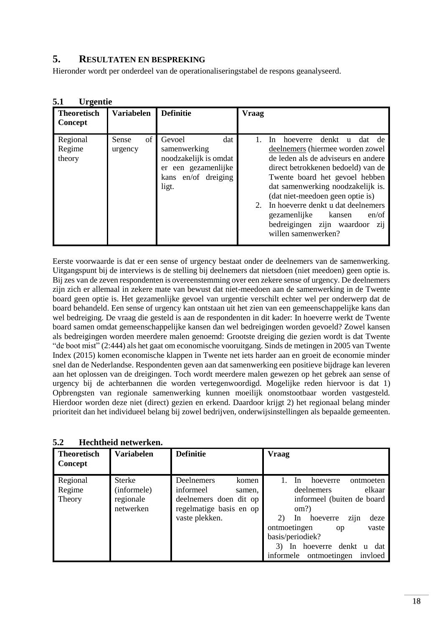## **5. RESULTATEN EN BESPREKING**

Hieronder wordt per onderdeel van de operationaliseringstabel de respons geanalyseerd.

| <b>Theoretisch</b><br>Concept | <b>Variabelen</b>      | <b>Definitie</b>                                                                                                 | <b>Vraag</b>                                                                                                                                                                                                                                                                                                                                                                                                                      |
|-------------------------------|------------------------|------------------------------------------------------------------------------------------------------------------|-----------------------------------------------------------------------------------------------------------------------------------------------------------------------------------------------------------------------------------------------------------------------------------------------------------------------------------------------------------------------------------------------------------------------------------|
| Regional<br>Regime<br>theory  | of<br>Sense<br>urgency | dat<br>Gevoel<br>samenwerking<br>noodzakelijk is omdat<br>een gezamenlijke<br>er<br>kans en/of dreiging<br>ligt. | denkt<br>dat<br>hoeverre<br>de<br>-In<br>$\mathbf{u}$<br>deelnemers (hiermee worden zowel<br>de leden als de adviseurs en andere<br>direct betrokkenen bedoeld) van de<br>Twente board het gevoel hebben<br>dat samenwerking noodzakelijk is.<br>(dat niet-meedoen geen optie is)<br>In hoeverre denkt u dat deelnemers<br>$2_{1}$<br>en/of<br>gezamenlijke<br>kansen<br>bedreigingen zijn waardoor<br>Z11<br>willen samenwerken? |

## <span id="page-18-0"></span>**5.1 Urgentie**

Eerste voorwaarde is dat er een sense of urgency bestaat onder de deelnemers van de samenwerking. Uitgangspunt bij de interviews is de stelling bij deelnemers dat nietsdoen (niet meedoen) geen optie is. Bij zes van de zeven respondenten is overeenstemming over een zekere sense of urgency. De deelnemers zijn zich er allemaal in zekere mate van bewust dat niet-meedoen aan de samenwerking in de Twente board geen optie is. Het gezamenlijke gevoel van urgentie verschilt echter wel per onderwerp dat de board behandeld. Een sense of urgency kan ontstaan uit het zien van een gemeenschappelijke kans dan wel bedreiging. De vraag die gesteld is aan de respondenten in dit kader: In hoeverre werkt de Twente board samen omdat gemeenschappelijke kansen dan wel bedreigingen worden gevoeld? Zowel kansen als bedreigingen worden meerdere malen genoemd: Grootste dreiging die gezien wordt is dat Twente "de boot mist" (2:444) als het gaat om economische vooruitgang. Sinds de metingen in 2005 van Twente Index (2015) komen economische klappen in Twente net iets harder aan en groeit de economie minder snel dan de Nederlandse. Respondenten geven aan dat samenwerking een positieve bijdrage kan leveren aan het oplossen van de dreigingen. Toch wordt meerdere malen gewezen op het gebrek aan sense of urgency bij de achterbannen die worden vertegenwoordigd. Mogelijke reden hiervoor is dat 1) Opbrengsten van regionale samenwerking kunnen moeilijk onomstootbaar worden vastgesteld. Hierdoor worden deze niet (direct) gezien en erkend. Daardoor krijgt 2) het regionaal belang minder prioriteit dan het individueel belang bij zowel bedrijven, onderwijsinstellingen als bepaalde gemeenten.

| ◡๛                            | memmen newerkin.  |                         |                                         |  |  |
|-------------------------------|-------------------|-------------------------|-----------------------------------------|--|--|
| <b>Theoretisch</b><br>Concept | <b>Variabelen</b> | <b>Definitie</b>        | <b>Vraag</b>                            |  |  |
| Regional                      | <b>Sterke</b>     | Deelnemers<br>komen     | ontmoeten<br>-In<br>hoeverre            |  |  |
| Regime                        | (informele)       | informeel<br>samen.     | elkaar<br>deelnemers                    |  |  |
| Theory                        | regionale         | deelnemers doen dit op  | informeel (buiten de board              |  |  |
|                               | netwerken         | regelmatige basis en op | om?)                                    |  |  |
|                               |                   | vaste plekken.          | zijn<br>2)<br>deze<br>hoeverre<br>In.   |  |  |
|                               |                   |                         | ontmoetingen<br>vaste<br><sub>o</sub> p |  |  |
|                               |                   |                         | basis/periodiek?                        |  |  |
|                               |                   |                         | hoeverre denkt<br>dat<br>ln.<br>u       |  |  |
|                               |                   |                         | informele<br>ontmoetingen<br>invloed    |  |  |

<span id="page-18-1"></span>**5.2 Hechtheid netwerken.**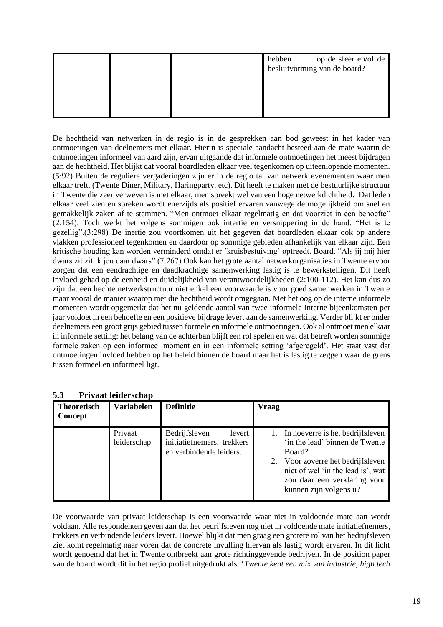|  | hebben | op de sfeer en/of de<br>besluitvorming van de board? |
|--|--------|------------------------------------------------------|
|  |        |                                                      |
|  |        |                                                      |

De hechtheid van netwerken in de regio is in de gesprekken aan bod geweest in het kader van ontmoetingen van deelnemers met elkaar. Hierin is speciale aandacht besteed aan de mate waarin de ontmoetingen informeel van aard zijn, ervan uitgaande dat informele ontmoetingen het meest bijdragen aan de hechtheid. Het blijkt dat vooral boardleden elkaar veel tegenkomen op uiteenlopende momenten. (5:92) Buiten de reguliere vergaderingen zijn er in de regio tal van netwerk evenementen waar men elkaar treft. (Twente Diner, Military, Haringparty, etc). Dit heeft te maken met de bestuurlijke structuur in Twente die zeer verweven is met elkaar, men spreekt wel van een hoge netwerkdichtheid. Dat leden elkaar veel zien en spreken wordt enerzijds als positief ervaren vanwege de mogelijkheid om snel en gemakkelijk zaken af te stemmen. "Men ontmoet elkaar regelmatig en dat voorziet in een behoefte" (2:154). Toch werkt het volgens sommigen ook intertie en versnippering in de hand. "Het is te gezellig".(3:298) De inertie zou voortkomen uit het gegeven dat boardleden elkaar ook op andere vlakken professioneel tegenkomen en daardoor op sommige gebieden afhankelijk van elkaar zijn. Een kritische houding kan worden verminderd omdat er ´kruisbestuiving´ optreedt. Board. "Als jij mij hier dwars zit zit ik jou daar dwars" (7:267) Ook kan het grote aantal netwerkorganisaties in Twente ervoor zorgen dat een eendrachtige en daadkrachtige samenwerking lastig is te bewerkstelligen. Dit heeft invloed gehad op de eenheid en duidelijkheid van verantwoordelijkheden (2:100-112). Het kan dus zo zijn dat een hechte netwerkstructuur niet enkel een voorwaarde is voor goed samenwerken in Twente maar vooral de manier waarop met die hechtheid wordt omgegaan. Met het oog op de interne informele momenten wordt opgemerkt dat het nu geldende aantal van twee informele interne bijeenkomsten per jaar voldoet in een behoefte en een positieve bijdrage levert aan de samenwerking. Verder blijkt er onder deelnemers een groot grijs gebied tussen formele en informele ontmoetingen. Ook al ontmoet men elkaar in informele setting: het belang van de achterban blijft een rol spelen en wat dat betreft worden sommige formele zaken op een informeel moment en in een informele setting 'afgeregeld'. Het staat vast dat ontmoetingen invloed hebben op het beleid binnen de board maar het is lastig te zeggen waar de grens tussen formeel en informeel ligt.

|                               | 111, au iciucibenap    |                                                                                  |                                                                                                                                                                                                                     |  |  |
|-------------------------------|------------------------|----------------------------------------------------------------------------------|---------------------------------------------------------------------------------------------------------------------------------------------------------------------------------------------------------------------|--|--|
| <b>Theoretisch</b><br>Concept | <b>Variabelen</b>      | <b>Definitie</b>                                                                 | <b>Vraag</b>                                                                                                                                                                                                        |  |  |
|                               | Privaat<br>leiderschap | Bedrijfsleven<br>levert<br>initiatiefnemers, trekkers<br>en verbindende leiders. | 1. In hoeverre is het bedrijfsleven<br>'in the lead' binnen de Twente<br>Board?<br>2. Voor zoverre het bedrijfsleven<br>niet of wel 'in the lead is', wat<br>zou daar een verklaring voor<br>kunnen zijn volgens u? |  |  |

#### <span id="page-19-0"></span>**5.3 Privaat leiderschap**

De voorwaarde van privaat leiderschap is een voorwaarde waar niet in voldoende mate aan wordt voldaan. Alle respondenten geven aan dat het bedrijfsleven nog niet in voldoende mate initiatiefnemers, trekkers en verbindende leiders levert. Hoewel blijkt dat men graag een grotere rol van het bedrijfsleven ziet komt regelmatig naar voren dat de concrete invulling hiervan als lastig wordt ervaren. In dit licht wordt genoemd dat het in Twente ontbreekt aan grote richtinggevende bedrijven. In de position paper van de board wordt dit in het regio profiel uitgedrukt als: '*Twente kent een mix van industrie, high tech*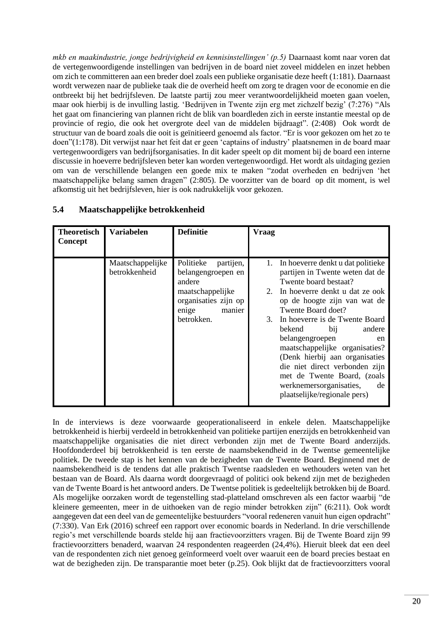*mkb en maakindustrie, jonge bedrijvigheid en kennisinstellingen' (p.5)* Daarnaast komt naar voren dat de vertegenwoordigende instellingen van bedrijven in de board niet zoveel middelen en inzet hebben om zich te committeren aan een breder doel zoals een publieke organisatie deze heeft (1:181). Daarnaast wordt verwezen naar de publieke taak die de overheid heeft om zorg te dragen voor de economie en die ontbreekt bij het bedrijfsleven. De laatste partij zou meer verantwoordelijkheid moeten gaan voelen, maar ook hierbij is de invulling lastig. 'Bedrijven in Twente zijn erg met zichzelf bezig' (7:276) "Als het gaat om financiering van plannen richt de blik van boardleden zich in eerste instantie meestal op de provincie of regio, die ook het overgrote deel van de middelen bijdraagt". (2:408) Ook wordt de structuur van de board zoals die ooit is geïnitieerd genoemd als factor. "Er is voor gekozen om het zo te doen"(1:178). Dit verwijst naar het feit dat er geen 'captains of industry' plaatsnemen in de board maar vertegenwoordigers van bedrijfsorganisaties. In dit kader speelt op dit moment bij de board een interne discussie in hoeverre bedrijfsleven beter kan worden vertegenwoordigd. Het wordt als uitdaging gezien om van de verschillende belangen een goede mix te maken "zodat overheden en bedrijven 'het maatschappelijke belang samen dragen" (2:805). De voorzitter van de board op dit moment, is wel afkomstig uit het bedrijfsleven, hier is ook nadrukkelijk voor gekozen.

| <b>Theoretisch</b><br>Concept | <b>Variabelen</b>                 | <b>Definitie</b>                                                                                                                    | Vraag                                                                                                                                                                                                                                                                                                                                                                                                                                                                                              |
|-------------------------------|-----------------------------------|-------------------------------------------------------------------------------------------------------------------------------------|----------------------------------------------------------------------------------------------------------------------------------------------------------------------------------------------------------------------------------------------------------------------------------------------------------------------------------------------------------------------------------------------------------------------------------------------------------------------------------------------------|
|                               | Maatschappelijke<br>betrokkenheid | Politieke<br>partijen,<br>belangengroepen en<br>andere<br>maatschappelijke<br>organisaties zijn op<br>manier<br>enige<br>betrokken. | In hoeverre denkt u dat politieke<br>partijen in Twente weten dat de<br>Twente board bestaat?<br>In hoeverre denkt u dat ze ook<br>$2_{1}$<br>op de hoogte zijn van wat de<br>Twente Board doet?<br>In hoeverre is de Twente Board<br>3.<br>bekend<br>bij<br>andere<br>belangengroepen<br>en<br>maatschappelijke organisaties?<br>(Denk hierbij aan organisaties<br>die niet direct verbonden zijn<br>met de Twente Board, (zoals<br>werknemersorganisaties,<br>de<br>plaatselijke/regionale pers) |

## <span id="page-20-0"></span>**5.4 Maatschappelijke betrokkenheid**

In de interviews is deze voorwaarde geoperationaliseerd in enkele delen. Maatschappelijke betrokkenheid is hierbij verdeeld in betrokkenheid van politieke partijen enerzijds en betrokkenheid van maatschappelijke organisaties die niet direct verbonden zijn met de Twente Board anderzijds. Hoofdonderdeel bij betrokkenheid is ten eerste de naamsbekendheid in de Twentse gemeentelijke politiek. De tweede stap is het kennen van de bezigheden van de Twente Board. Beginnend met de naamsbekendheid is de tendens dat alle praktisch Twentse raadsleden en wethouders weten van het bestaan van de Board. Als daarna wordt doorgevraagd of politici ook bekend zijn met de bezigheden van de Twente Board is het antwoord anders. De Twentse politiek is gedeeltelijk betrokken bij de Board. Als mogelijke oorzaken wordt de tegenstelling stad-platteland omschreven als een factor waarbij "de kleinere gemeenten, meer in de uithoeken van de regio minder betrokken zijn" (6:211). Ook wordt aangegeven dat een deel van de gemeentelijke bestuurders "vooral redeneren vanuit hun eigen opdracht" (7:330). Van Erk (2016) schreef een rapport over economic boards in Nederland. In drie verschillende regio's met verschillende boards stelde hij aan fractievoorzitters vragen. Bij de Twente Board zijn 99 fractievoorzitters benaderd, waarvan 24 respondenten reageerden (24,4%). Hieruit bleek dat een deel van de respondenten zich niet genoeg geïnformeerd voelt over waaruit een de board precies bestaat en wat de bezigheden zijn. De transparantie moet beter (p.25). Ook blijkt dat de fractievoorzitters vooral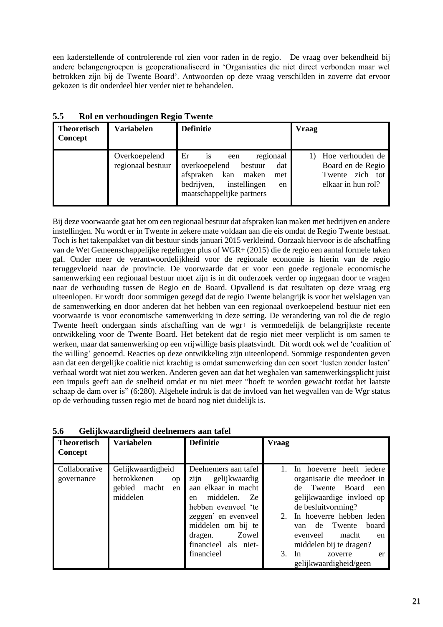een kaderstellende of controlerende rol zien voor raden in de regio. De vraag over bekendheid bij andere belangengroepen is geoperationaliseerd in 'Organisaties die niet direct verbonden maar wel betrokken zijn bij de Twente Board'. Antwoorden op deze vraag verschilden in zoverre dat ervoor gekozen is dit onderdeel hier verder niet te behandelen.

| <b>Theoretisch</b><br>Concept | <b>Variabelen</b>                  | <b>Definitie</b>                                                                                                                                                            | <b>Vraag</b>                                                                         |
|-------------------------------|------------------------------------|-----------------------------------------------------------------------------------------------------------------------------------------------------------------------------|--------------------------------------------------------------------------------------|
|                               | Overkoepelend<br>regionaal bestuur | Er<br>regionaal<br><b>1S</b><br>een<br>overkoepelend<br>bestuur<br>dat<br>kan<br>afspraken<br>maken<br>met<br>bedrijven,<br>instellingen<br>en<br>maatschappelijke partners | 1) Hoe verhouden de<br>Board en de Regio<br>zich tot<br>Twente<br>elkaar in hun rol? |

<span id="page-21-0"></span>**5.5 Rol en verhoudingen Regio Twente**

Bij deze voorwaarde gaat het om een regionaal bestuur dat afspraken kan maken met bedrijven en andere instellingen. Nu wordt er in Twente in zekere mate voldaan aan die eis omdat de Regio Twente bestaat. Toch is het takenpakket van dit bestuur sinds januari 2015 verkleind. Oorzaak hiervoor is de afschaffing van de Wet Gemeenschappelijke regelingen plus of WGR+ (2015) die de regio een aantal formele taken gaf. Onder meer de verantwoordelijkheid voor de regionale economie is hierin van de regio teruggevloeid naar de provincie. De voorwaarde dat er voor een goede regionale economische samenwerking een regionaal bestuur moet zijn is in dit onderzoek verder op ingegaan door te vragen naar de verhouding tussen de Regio en de Board. Opvallend is dat resultaten op deze vraag erg uiteenlopen. Er wordt door sommigen gezegd dat de regio Twente belangrijk is voor het welslagen van de samenwerking en door anderen dat het hebben van een regionaal overkoepelend bestuur niet een voorwaarde is voor economische samenwerking in deze setting. De verandering van rol die de regio Twente heeft ondergaan sinds afschaffing van de wgr+ is vermoedelijk de belangrijkste recente ontwikkeling voor de Twente Board. Het betekent dat de regio niet meer verplicht is om samen te werken, maar dat samenwerking op een vrijwillige basis plaatsvindt. Dit wordt ook wel de 'coalition of the willing' genoemd. Reacties op deze ontwikkeling zijn uiteenlopend. Sommige respondenten geven aan dat een dergelijke coalitie niet krachtig is omdat samenwerking dan een soort 'lusten zonder lasten' verhaal wordt wat niet zou werken. Anderen geven aan dat het weghalen van samenwerkingsplicht juist een impuls geeft aan de snelheid omdat er nu niet meer "hoeft te worden gewacht totdat het laatste schaap de dam over is" (6:280). Algehele indruk is dat de invloed van het wegvallen van de Wgr status op de verhouding tussen regio met de board nog niet duidelijk is.

| <b>Theoretisch</b><br>Concept | Variabelen                                                                  | <b>Definitie</b>                                                                                                                                                                                                            | <b>Vraag</b>                                                                                                                                                                                                                                                                                                       |
|-------------------------------|-----------------------------------------------------------------------------|-----------------------------------------------------------------------------------------------------------------------------------------------------------------------------------------------------------------------------|--------------------------------------------------------------------------------------------------------------------------------------------------------------------------------------------------------------------------------------------------------------------------------------------------------------------|
| Collaborative<br>governance   | Gelijkwaardigheid<br>betrokkenen<br>op<br>gebied<br>macht<br>en<br>middelen | Deelnemers aan tafel<br>zijn<br>gelijkwaardig<br>aan elkaar in macht<br>middelen.<br>Ze<br>en<br>hebben evenveel 'te<br>zeggen' en evenveel<br>middelen om bij te<br>Zowel<br>dragen.<br>financieel als niet-<br>financieel | In hoeverre heeft iedere<br>organisatie die meedoet in<br>Twente Board<br>de<br>een<br>gelijkwaardige invloed op<br>de besluitvorming?<br>2. In hoeverre hebben leden<br>Twente<br>board<br>de<br>van<br>macht<br>evenveel<br>en<br>middelen bij te dragen?<br>3.<br>In<br>zoverre<br>er<br>gelijkwaardigheid/geen |

<span id="page-21-1"></span>**5.6 Gelijkwaardigheid deelnemers aan tafel**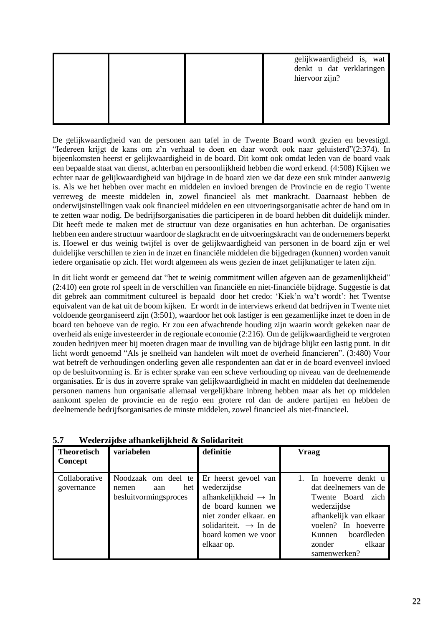|  | gelijkwaardigheid is, wat<br>denkt u dat verklaringen<br>hiervoor zijn? |
|--|-------------------------------------------------------------------------|
|  |                                                                         |

De gelijkwaardigheid van de personen aan tafel in de Twente Board wordt gezien en bevestigd. "Iedereen krijgt de kans om z'n verhaal te doen en daar wordt ook naar geluisterd"(2:374). In bijeenkomsten heerst er gelijkwaardigheid in de board. Dit komt ook omdat leden van de board vaak een bepaalde staat van dienst, achterban en persoonlijkheid hebben die word erkend. (4:508) Kijken we echter naar de gelijkwaardigheid van bijdrage in de board zien we dat deze een stuk minder aanwezig is. Als we het hebben over macht en middelen en invloed brengen de Provincie en de regio Twente verreweg de meeste middelen in, zowel financieel als met mankracht. Daarnaast hebben de onderwijsinstellingen vaak ook financieel middelen en een uitvoeringsorganisatie achter de hand om in te zetten waar nodig. De bedrijfsorganisaties die participeren in de board hebben dit duidelijk minder. Dit heeft mede te maken met de structuur van deze organisaties en hun achterban. De organisaties hebben een andere structuur waardoor de slagkracht en de uitvoeringskracht van de ondernemers beperkt is. Hoewel er dus weinig twijfel is over de gelijkwaardigheid van personen in de board zijn er wel duidelijke verschillen te zien in de inzet en financiële middelen die bijgedragen (kunnen) worden vanuit iedere organisatie op zich. Het wordt algemeen als wens gezien de inzet gelijkmatiger te laten zijn.

In dit licht wordt er gemeend dat "het te weinig commitment willen afgeven aan de gezamenlijkheid" (2:410) een grote rol speelt in de verschillen van financiële en niet-financiële bijdrage. Suggestie is dat dit gebrek aan commitment cultureel is bepaald door het credo: 'Kiek'n wa't wordt': het Twentse equivalent van de kat uit de boom kijken. Er wordt in de interviews erkend dat bedrijven in Twente niet voldoende georganiseerd zijn (3:501), waardoor het ook lastiger is een gezamenlijke inzet te doen in de board ten behoeve van de regio. Er zou een afwachtende houding zijn waarin wordt gekeken naar de overheid als enige investeerder in de regionale economie (2:216). Om de gelijkwaardigheid te vergroten zouden bedrijven meer bij moeten dragen maar de invulling van de bijdrage blijkt een lastig punt. In dit licht wordt genoemd "Als je snelheid van handelen wilt moet de overheid financieren". (3:480) Voor wat betreft de verhoudingen onderling geven alle respondenten aan dat er in de board evenveel invloed op de besluitvorming is. Er is echter sprake van een scheve verhouding op niveau van de deelnemende organisaties. Er is dus in zoverre sprake van gelijkwaardigheid in macht en middelen dat deelnemende personen namens hun organisatie allemaal vergelijkbare inbreng hebben maar als het op middelen aankomt spelen de provincie en de regio een grotere rol dan de andere partijen en hebben de deelnemende bedrijfsorganisaties de minste middelen, zowel financieel als niet-financieel.

| <b>Theoretisch</b><br>Concept | variabelen                                                          | definitie                                                                                                                                                                                         | <b>Vraag</b>                                                                                                                                                                                  |
|-------------------------------|---------------------------------------------------------------------|---------------------------------------------------------------------------------------------------------------------------------------------------------------------------------------------------|-----------------------------------------------------------------------------------------------------------------------------------------------------------------------------------------------|
| Collaborative<br>governance   | Noodzaak om deel te<br>het<br>nemen<br>aan<br>besluitvormingsproces | Er heerst gevoel van<br>wederzijdse<br>afhankelijkheid $\rightarrow$ In<br>de board kunnen we<br>niet zonder elkaar. en<br>solidariteit. $\rightarrow$ In de<br>board komen we voor<br>elkaar op. | In hoeverre denkt u<br>dat deelnemers van de<br>Twente Board zich<br>wederzijdse<br>afhankelijk van elkaar<br>voelen? In hoeverre<br>boardleden<br>Kunnen<br>elkaar<br>zonder<br>samenwerken? |

<span id="page-22-0"></span>**5.7 Wederzijdse afhankelijkheid & Solidariteit**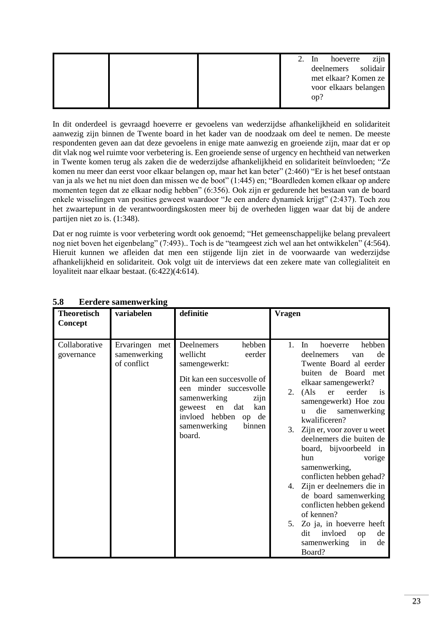|  | 2. | zijn<br>hoeverre<br>- In<br>deelnemers solidair<br>met elkaar? Komen ze<br>voor elkaars belangen |
|--|----|--------------------------------------------------------------------------------------------------|
|  |    | op?                                                                                              |

In dit onderdeel is gevraagd hoeverre er gevoelens van wederzijdse afhankelijkheid en solidariteit aanwezig zijn binnen de Twente board in het kader van de noodzaak om deel te nemen. De meeste respondenten geven aan dat deze gevoelens in enige mate aanwezig en groeiende zijn, maar dat er op dit vlak nog wel ruimte voor verbetering is. Een groeiende sense of urgency en hechtheid van netwerken in Twente komen terug als zaken die de wederzijdse afhankelijkheid en solidariteit beïnvloeden; "Ze komen nu meer dan eerst voor elkaar belangen op, maar het kan beter" (2:460) "Er is het besef ontstaan van ja als we het nu niet doen dan missen we de boot" (1:445) en; "Boardleden komen elkaar op andere momenten tegen dat ze elkaar nodig hebben" (6:356). Ook zijn er gedurende het bestaan van de board enkele wisselingen van posities geweest waardoor "Je een andere dynamiek krijgt" (2:437). Toch zou het zwaartepunt in de verantwoordingskosten meer bij de overheden liggen waar dat bij de andere partijen niet zo is. (1:348).

Dat er nog ruimte is voor verbetering wordt ook genoemd; "Het gemeenschappelijke belang prevaleert nog niet boven het eigenbelang" (7:493).. Toch is de "teamgeest zich wel aan het ontwikkelen" (4:564). Hieruit kunnen we afleiden dat men een stijgende lijn ziet in de voorwaarde van wederzijdse afhankelijkheid en solidariteit. Ook volgt uit de interviews dat een zekere mate van collegialiteit en loyaliteit naar elkaar bestaat. (6:422)(4:614).

| <b>Theoretisch</b>          | variabelen                                    | definitie                                                                                                                                                                                                                                 | <b>Vragen</b>                                                                                                                                                                                                                                                                                                                                                                                                                                                                                                                                                                                                         |
|-----------------------------|-----------------------------------------------|-------------------------------------------------------------------------------------------------------------------------------------------------------------------------------------------------------------------------------------------|-----------------------------------------------------------------------------------------------------------------------------------------------------------------------------------------------------------------------------------------------------------------------------------------------------------------------------------------------------------------------------------------------------------------------------------------------------------------------------------------------------------------------------------------------------------------------------------------------------------------------|
| Concept                     |                                               |                                                                                                                                                                                                                                           |                                                                                                                                                                                                                                                                                                                                                                                                                                                                                                                                                                                                                       |
| Collaborative<br>governance | Ervaringen met<br>samenwerking<br>of conflict | Deelnemers<br>hebben<br>wellicht<br>eerder<br>samengewerkt:<br>Dit kan een succesvolle of<br>een minder succesvolle<br>samenwerking<br>zijn<br>geweest<br>en<br>dat<br>kan<br>invloed hebben<br>op de<br>samenwerking<br>binnen<br>board. | hoeverre<br>hebben<br>1.<br>In<br>deelnemers<br>de<br>van<br>Twente Board al eerder<br>buiten de Board met<br>elkaar samengewerkt?<br>eerder<br>(Als)<br>er<br>2.<br>is<br>samengewerkt) Hoe zou<br>die<br>samenwerking<br><b>u</b><br>kwalificeren?<br>Zijn er, voor zover u weet<br>3.<br>deelnemers die buiten de<br>board, bijvoorbeeld in<br>hun<br>vorige<br>samenwerking,<br>conflicten hebben gehad?<br>4. Zijn er deelnemers die in<br>de board samenwerking<br>conflicten hebben gekend<br>of kennen?<br>Zo ja, in hoeverre heeft<br>5.<br>invloed<br>dit<br>de<br>op<br>de<br>samenwerking<br>in<br>Board? |

## <span id="page-23-0"></span>**5.8 Eerdere samenwerking**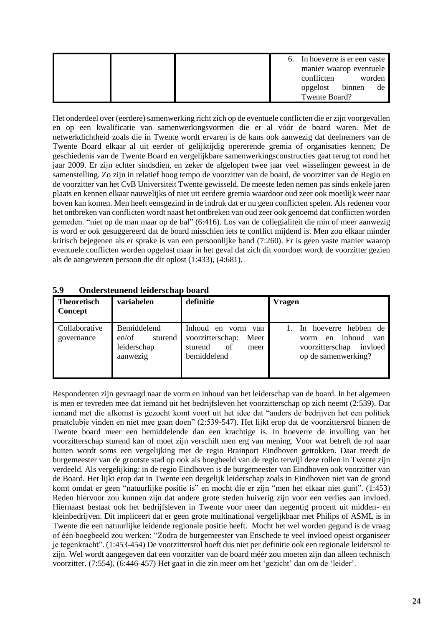|  |  | 6. In hoeverre is er een vaste |        |
|--|--|--------------------------------|--------|
|  |  | manier waarop eventuele        |        |
|  |  | conflicten                     | worden |
|  |  | opgelost binnen                | de     |
|  |  | Twente Board?                  |        |

Het onderdeel over (eerdere) samenwerking richt zich op de eventuele conflicten die er zijn voorgevallen en op een kwalificatie van samenwerkingsvormen die er al vóór de board waren. Met de netwerkdichtheid zoals die in Twente wordt ervaren is de kans ook aanwezig dat deelnemers van de Twente Board elkaar al uit eerder of gelijktijdig opererende gremia of organisaties kennen; De geschiedenis van de Twente Board en vergelijkbare samenwerkingsconstructies gaat terug tot rond het jaar 2009. Er zijn echter sindsdien, en zeker de afgelopen twee jaar veel wisselingen geweest in de samenstelling. Zo zijn in relatief hoog tempo de voorzitter van de board, de voorzitter van de Regio en de voorzitter van het CvB Universiteit Twente gewisseld. De meeste leden nemen pas sinds enkele jaren plaats en kennen elkaar nauwelijks of niet uit eerdere gremia waardoor oud zeer ook moeilijk weer naar boven kan komen. Men heeft eensgezind in de indruk dat er nu geen conflicten spelen. Als redenen voor het ontbreken van conflicten wordt naast het ontbreken van oud zeer ook genoemd dat conflicten worden gemeden. "niet op de man maar op de bal" (6:416). Los van de collegialiteit die min of meer aanwezig is word er ook gesuggereerd dat de board misschien iets te conflict mijdend is. Men zou elkaar minder kritisch bejegenen als er sprake is van een persoonlijke band (7:260). Er is geen vaste manier waarop eventuele conflicten worden opgelost maar in het geval dat zich dit voordoet wordt de voorzitter gezien als de aangewezen persoon die dit oplost (1:433), (4:681).

| <b>Theoretisch</b><br><b>Concept</b> | variabelen                                                 | definitie                                                                                              | <b>Vragen</b>                                                                                                |
|--------------------------------------|------------------------------------------------------------|--------------------------------------------------------------------------------------------------------|--------------------------------------------------------------------------------------------------------------|
| Collaborative<br>governance          | Bemiddelend<br>en/of<br>sturend<br>leiderschap<br>aanwezig | <b>Inhoud</b><br>en<br>vorm<br>van<br>voorzitterschap:<br>Meer<br>of<br>sturend<br>meer<br>bemiddelend | hoeverre hebben de<br>In<br>inhoud<br>van<br>en<br>vorm<br>voorzitterschap<br>invloed<br>op de samenwerking? |

<span id="page-24-0"></span>**5.9 Ondersteunend leiderschap board** 

Respondenten zijn gevraagd naar de vorm en inhoud van het leiderschap van de board. In het algemeen is men er tevreden mee dat iemand uit het bedrijfsleven het voorzitterschap op zich neemt (2:539). Dat iemand met die afkomst is gezocht komt voort uit het idee dat "anders de bedrijven het een politiek praatclubje vinden en niet mee gaan doen" (2:539-547). Het lijkt erop dat de voorzittersrol binnen de Twente board meer een bemiddelende dan een krachtige is. In hoeverre de invulling van het voorzitterschap sturend kan of moet zijn verschilt men erg van mening. Voor wat betreft de rol naar buiten wordt soms een vergelijking met de regio Brainport Eindhoven getrokken. Daar treedt de burgemeester van de grootste stad op ook als boegbeeld van de regio terwijl deze rollen in Twente zijn verdeeld. Als vergelijking: in de regio Eindhoven is de burgemeester van Eindhoven ook voorzitter van de Board. Het lijkt erop dat in Twente een dergelijk leiderschap zoals in Eindhoven niet van de grond komt omdat er geen "natuurlijke positie is" en mocht die er zijn "men het elkaar niet gunt". (1:453) Reden hiervoor zou kunnen zijn dat andere grote steden huiverig zijn voor een verlies aan invloed. Hiernaast bestaat ook het bedrijfsleven in Twente voor meer dan negentig procent uit midden- en kleinbedrijven. Dit impliceert dat er geen grote multinational vergelijkbaar met Philips of ASML is in Twente die een natuurlijke leidende regionale positie heeft. Mocht het wel worden gegund is de vraag of één boegbeeld zou werken: "Zodra de burgemeester van Enschede te veel invloed opeist organiseer je tegenkracht". (1:453-454) De voorzittersrol hoeft dus niet per definitie ook een regionale leidersrol te zijn. Wel wordt aangegeven dat een voorzitter van de board méér zou moeten zijn dan alleen technisch voorzitter. (7:554), (6:446-457) Het gaat in die zin meer om het 'gezicht' dan om de 'leider'.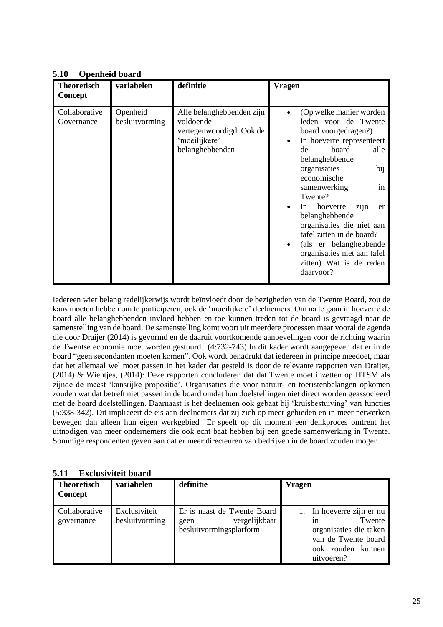| <b>Theoretisch</b><br><b>Concept</b> | variabelen                 | definitie                                                                                              | Vragen                                                                                                                                                                                                                                                                                                                                                                                                                             |
|--------------------------------------|----------------------------|--------------------------------------------------------------------------------------------------------|------------------------------------------------------------------------------------------------------------------------------------------------------------------------------------------------------------------------------------------------------------------------------------------------------------------------------------------------------------------------------------------------------------------------------------|
| Collaborative<br>Governance          | Openheid<br>besluitvorming | Alle belanghebbenden zijn<br>voldoende<br>vertegenwoordigd. Ook de<br>'moeilijkere'<br>belanghebbenden | (Op welke manier worden)<br>leden voor de Twente<br>board voorgedragen?)<br>In hoeverre representeert<br>board<br>alle<br>de<br>belanghebbende<br>bij<br>organisaties<br>economische<br>in<br>samenwerking<br>Twente?<br>hoeverre<br>zijn<br>In<br>er<br>belanghebbende<br>organisaties die niet aan<br>tafel zitten in de board?<br>(als er belanghebbende<br>organisaties niet aan tafel<br>zitten) Wat is de reden<br>daarvoor? |

## <span id="page-25-0"></span>**5.10 Openheid board**

Iedereen wier belang redelijkerwijs wordt beïnvloedt door de bezigheden van de Twente Board, zou de kans moeten hebben om te participeren, ook de 'moeilijkere' deelnemers. Om na te gaan in hoeverre de board alle belanghebbenden invloed hebben en toe kunnen treden tot de board is gevraagd naar de samenstelling van de board. De samenstelling komt voort uit meerdere processen maar vooral de agenda die door Draijer (2014) is gevormd en de daaruit voortkomende aanbevelingen voor de richting waarin de Twentse economie moet worden gestuurd. (4:732-743) In dit kader wordt aangegeven dat er in de board "geen secondanten moeten komen". Ook wordt benadrukt dat iedereen in principe meedoet, maar dat het allemaal wel moet passen in het kader dat gesteld is door de relevante rapporten van Draijer, (2014) & Wientjes, (2014): Deze rapporten concluderen dat dat Twente moet inzetten op HTSM als zijnde de meest 'kansrijke propositie'. Organisaties die voor natuur- en toeristenbelangen opkomen zouden wat dat betreft niet passen in de board omdat hun doelstellingen niet direct worden geassocieerd met de board doelstellingen. Daarnaast is het deelnemen ook gebaat bij 'kruisbestuiving' van functies (5:338-342). Dit impliceert de eis aan deelnemers dat zij zich op meer gebieden en in meer netwerken bewegen dan alleen hun eigen werkgebied Er speelt op dit moment een denkproces omtrent het uitnodigen van meer ondernemers die ook echt baat hebben bij een goede samenwerking in Twente. Sommige respondenten geven aan dat er meer directeuren van bedrijven in de board zouden mogen.

| .                                    | ежного первой п                 |                                                                                 |                                                                                                                               |  |  |
|--------------------------------------|---------------------------------|---------------------------------------------------------------------------------|-------------------------------------------------------------------------------------------------------------------------------|--|--|
| <b>Theoretisch</b><br><b>Concept</b> | variabelen                      | definitie                                                                       | <b>Vragen</b>                                                                                                                 |  |  |
| Collaborative<br>governance          | Exclusiviteit<br>besluitvorming | Er is naast de Twente Board<br>vergelijkbaar<br>geen<br>besluitvormingsplatform | 1. In hoeverre zijn er nu<br>Twente<br>1n<br>organisaties die taken<br>van de Twente board<br>ook zouden kunnen<br>uitvoeren? |  |  |

<span id="page-25-1"></span>**5.11 Exclusiviteit board**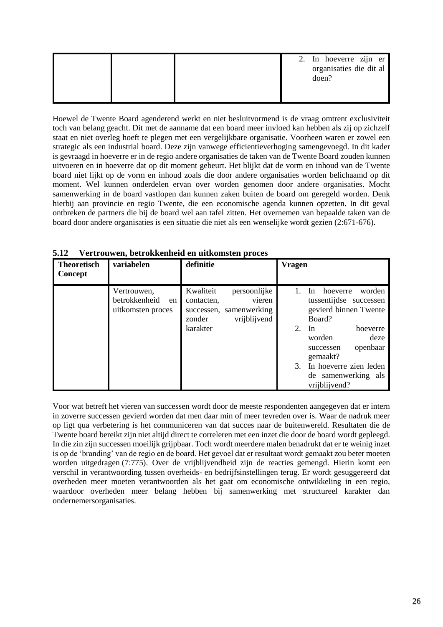|  |  | 2. In hoeverre zijn er<br>organisaties die dit al<br>doen? |
|--|--|------------------------------------------------------------|
|  |  |                                                            |

Hoewel de Twente Board agenderend werkt en niet besluitvormend is de vraag omtrent exclusiviteit toch van belang geacht. Dit met de aanname dat een board meer invloed kan hebben als zij op zichzelf staat en niet overleg hoeft te plegen met een vergelijkbare organisatie. Voorheen waren er zowel een strategic als een industrial board. Deze zijn vanwege efficientieverhoging samengevoegd. In dit kader is gevraagd in hoeverre er in de regio andere organisaties de taken van de Twente Board zouden kunnen uitvoeren en in hoeverre dat op dit moment gebeurt. Het blijkt dat de vorm en inhoud van de Twente board niet lijkt op de vorm en inhoud zoals die door andere organisaties worden belichaamd op dit moment. Wel kunnen onderdelen ervan over worden genomen door andere organisaties. Mocht samenwerking in de board vastlopen dan kunnen zaken buiten de board om geregeld worden. Denk hierbij aan provincie en regio Twente, die een economische agenda kunnen opzetten. In dit geval ontbreken de partners die bij de board wel aan tafel zitten. Het overnemen van bepaalde taken van de board door andere organisaties is een situatie die niet als een wenselijke wordt gezien (2:671-676).

| <b>Theoretisch</b><br>Concept | variabelen                                              | definitie                         |                                                                   | <b>Vragen</b> |                                                                                           |
|-------------------------------|---------------------------------------------------------|-----------------------------------|-------------------------------------------------------------------|---------------|-------------------------------------------------------------------------------------------|
|                               | Vertrouwen,<br>betrokkenheid<br>en<br>uitkomsten proces | Kwaliteit<br>contacten,<br>zonder | persoonlijke<br>vieren<br>successen, samenwerking<br>vrijblijvend |               | worden<br>hoeverre<br>In.<br>tussentijdse<br>successen<br>gevierd binnen Twente<br>Board? |
|                               |                                                         | karakter                          |                                                                   | 2.            | In<br>hoeverre<br>worden<br>deze<br>openbaar<br>successen<br>gemaakt?                     |
|                               |                                                         |                                   |                                                                   | 3.            | In hoeverre zien leden<br>de samenwerking als<br>vrijblijvend?                            |

<span id="page-26-0"></span>**5.12 Vertrouwen, betrokkenheid en uitkomsten proces**

<span id="page-26-1"></span>Voor wat betreft het vieren van successen wordt door de meeste respondenten aangegeven dat er intern in zoverre successen gevierd worden dat men daar min of meer tevreden over is. Waar de nadruk meer op ligt qua verbetering is het communiceren van dat succes naar de buitenwereld. Resultaten die de Twente board bereikt zijn niet altijd direct te correleren met een inzet die door de board wordt gepleegd. In die zin zijn successen moeilijk grijpbaar. Toch wordt meerdere malen benadrukt dat er te weinig inzet is op de 'branding' van de regio en de board. Het gevoel dat er resultaat wordt gemaakt zou beter moeten worden uitgedragen (7:775). Over de vrijblijvendheid zijn de reacties gemengd. Hierin komt een verschil in verantwoording tussen overheids- en bedrijfsinstellingen terug. Er wordt gesuggereerd dat overheden meer moeten verantwoorden als het gaat om economische ontwikkeling in een regio, waardoor overheden meer belang hebben bij samenwerking met structureel karakter dan ondernemersorganisaties.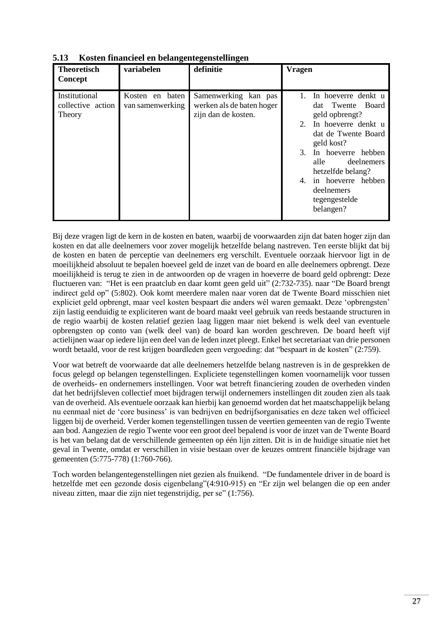| <b>Theoretisch</b><br>Concept                | variabelen                          | definitie                                                                | <b>Vragen</b>                                                                                                                                                                                                                                                              |
|----------------------------------------------|-------------------------------------|--------------------------------------------------------------------------|----------------------------------------------------------------------------------------------------------------------------------------------------------------------------------------------------------------------------------------------------------------------------|
| Institutional<br>collective action<br>Theory | Kosten en baten<br>van samenwerking | Samenwerking kan pas<br>werken als de baten hoger<br>zijn dan de kosten. | In hoeverre denkt u<br>dat Twente Board<br>geld opbrengt?<br>In hoeverre denkt u<br>2.<br>dat de Twente Board<br>geld kost?<br>3.<br>In hoeverre hebben<br>deelnemers<br>alle<br>hetzelfde belang?<br>in hoeverre hebben<br>4.<br>deelnemers<br>tegengestelde<br>belangen? |

**5.13 Kosten financieel en belangentegenstellingen**

Bij deze vragen ligt de kern in de kosten en baten, waarbij de voorwaarden zijn dat baten hoger zijn dan kosten en dat alle deelnemers voor zover mogelijk hetzelfde belang nastreven. Ten eerste blijkt dat bij de kosten en baten de perceptie van deelnemers erg verschilt. Eventuele oorzaak hiervoor ligt in de moeilijkheid absoluut te bepalen hoeveel geld de inzet van de board en alle deelnemers opbrengt. Deze moeilijkheid is terug te zien in de antwoorden op de vragen in hoeverre de board geld opbrengt: Deze fluctueren van: "Het is een praatclub en daar komt geen geld uit" (2:732-735). naar "De Board brengt indirect geld op" (5:802). Ook komt meerdere malen naar voren dat de Twente Board misschien niet expliciet geld opbrengt, maar veel kosten bespaart die anders wél waren gemaakt. Deze 'opbrengsten' zijn lastig eenduidig te expliciteren want de board maakt veel gebruik van reeds bestaande structuren in de regio waarbij de kosten relatief gezien laag liggen maar niet bekend is welk deel van eventuele opbrengsten op conto van (welk deel van) de board kan worden geschreven. De board heeft vijf actielijnen waar op iedere lijn een deel van de leden inzet pleegt. Enkel het secretariaat van drie personen wordt betaald, voor de rest krijgen boardleden geen vergoeding: dat "bespaart in de kosten" (2:759).

Voor wat betreft de voorwaarde dat alle deelnemers hetzelfde belang nastreven is in de gesprekken de focus gelegd op belangen tegenstellingen. Expliciete tegenstellingen komen voornamelijk voor tussen de overheids- en ondernemers instellingen. Voor wat betreft financiering zouden de overheden vinden dat het bedrijfsleven collectief moet bijdragen terwijl ondernemers instellingen dit zouden zien als taak van de overheid. Als eventuele oorzaak kan hierbij kan genoemd worden dat het maatschappelijk belang nu eenmaal niet de 'core business' is van bedrijven en bedrijfsorganisaties en deze taken wel officieel liggen bij de overheid. Verder komen tegenstellingen tussen de veertien gemeenten van de regio Twente aan bod. Aangezien de regio Twente voor een groot deel bepalend is voor de inzet van de Twente Board is het van belang dat de verschillende gemeenten op één lijn zitten. Dit is in de huidige situatie niet het geval in Twente, omdat er verschillen in visie bestaan over de keuzes omtrent financiële bijdrage van gemeenten (5:775-778) (1:760-766).

Toch worden belangentegenstellingen niet gezien als fnuikend. "De fundamentele driver in de board is hetzelfde met een gezonde dosis eigenbelang"(4:910-915) en "Er zijn wel belangen die op een ander niveau zitten, maar die zijn niet tegenstrijdig, per se" (1:756).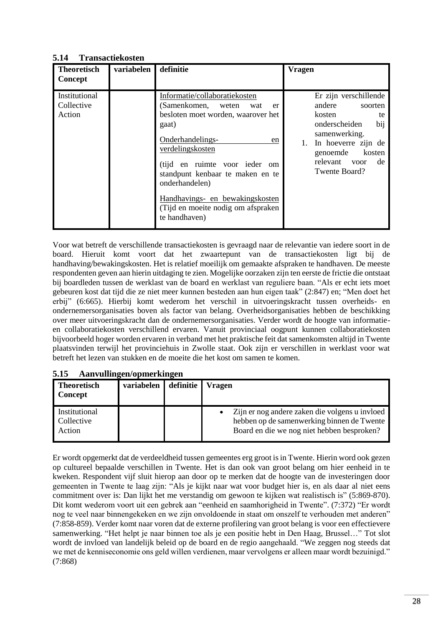## <span id="page-28-0"></span>**5.14 Transactiekosten**

| <b>Theoretisch</b><br>Concept         | variabelen | definitie                                                                                                                                                                                                                                                                                                                                        | <b>Vragen</b>                                                                                                                                                                            |
|---------------------------------------|------------|--------------------------------------------------------------------------------------------------------------------------------------------------------------------------------------------------------------------------------------------------------------------------------------------------------------------------------------------------|------------------------------------------------------------------------------------------------------------------------------------------------------------------------------------------|
| Institutional<br>Collective<br>Action |            | Informatie/collaboratiekosten<br>(Samenkomen, weten)<br>wat<br>er<br>besloten moet worden, waarover het<br>gaat)<br>Onderhandelings-<br>en<br>verdelingskosten<br>(tijd en ruimte voor ieder om<br>standpunt kenbaar te maken en te<br>onderhandelen)<br>Handhavings- en bewakingskosten<br>(Tijd en moeite nodig om afspraken)<br>te handhaven) | Er zijn verschillende<br>andere<br>soorten<br>kosten<br>te<br>bij<br>onderscheiden<br>samenwerking.<br>In hoeverre zijn de<br>genoemde<br>kosten<br>relevant voor<br>de<br>Twente Board? |

Voor wat betreft de verschillende transactiekosten is gevraagd naar de relevantie van iedere soort in de board. Hieruit komt voort dat het zwaartepunt van de transactiekosten ligt bij de handhaving/bewakingskosten. Het is relatief moeilijk om gemaakte afspraken te handhaven. De meeste respondenten geven aan hierin uitdaging te zien. Mogelijke oorzaken zijn ten eerste de frictie die ontstaat bij boardleden tussen de werklast van de board en werklast van reguliere baan. "Als er echt iets moet gebeuren kost dat tijd die ze niet meer kunnen besteden aan hun eigen taak" (2:847) en; "Men doet het erbij" (6:665). Hierbij komt wederom het verschil in uitvoeringskracht tussen overheids- en ondernemersorganisaties boven als factor van belang. Overheidsorganisaties hebben de beschikking over meer uitvoeringskracht dan de ondernemersorganisaties. Verder wordt de hoogte van informatieen collaboratiekosten verschillend ervaren. Vanuit provinciaal oogpunt kunnen collaboratiekosten bijvoorbeeld hoger worden ervaren in verband met het praktische feit dat samenkomsten altijd in Twente plaatsvinden terwijl het provinciehuis in Zwolle staat. Ook zijn er verschillen in werklast voor wat betreft het lezen van stukken en de moeite die het kost om samen te komen.

| <b>Theoretisch</b><br>Concept         | variabelen | definitie | <b>Vragen</b>                                                                                                                              |  |  |
|---------------------------------------|------------|-----------|--------------------------------------------------------------------------------------------------------------------------------------------|--|--|
| Institutional<br>Collective<br>Action |            |           | Zijn er nog andere zaken die volgens u invloed<br>hebben op de samenwerking binnen de Twente<br>Board en die we nog niet hebben besproken? |  |  |

#### <span id="page-28-1"></span>**5.15 Aanvullingen/opmerkingen**

Er wordt opgemerkt dat de verdeeldheid tussen gemeentes erg groot is in Twente. Hierin word ook gezen op cultureel bepaalde verschillen in Twente. Het is dan ook van groot belang om hier eenheid in te kweken. Respondent vijf sluit hierop aan door op te merken dat de hoogte van de investeringen door gemeenten in Twente te laag zijn: "Als je kijkt naar wat voor budget hier is, en als daar al niet eens commitment over is: Dan lijkt het me verstandig om gewoon te kijken wat realistisch is" (5:869-870). Dit komt wederom voort uit een gebrek aan "eenheid en saamhorigheid in Twente". (7:372) "Er wordt nog te veel naar binnengekeken en we zijn onvoldoende in staat om onszelf te verhouden met anderen" (7:858-859). Verder komt naar voren dat de externe profilering van groot belang is voor een effectievere samenwerking. "Het helpt je naar binnen toe als je een positie hebt in Den Haag, Brussel…" Tot slot wordt de invloed van landelijk beleid op de board en de regio aangehaald. "We zeggen nog steeds dat we met de kenniseconomie ons geld willen verdienen, maar vervolgens er alleen maar wordt bezuinigd." (7:868)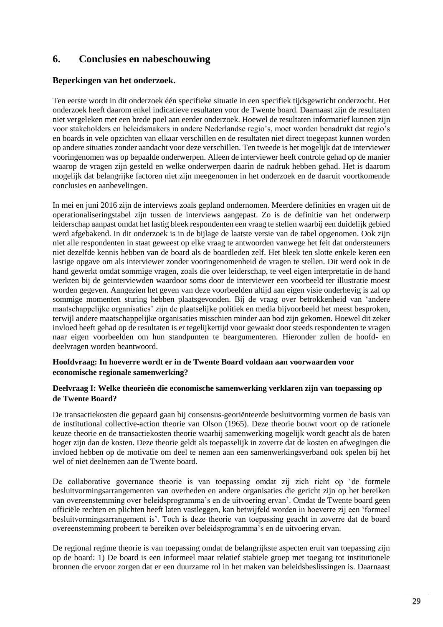# <span id="page-29-0"></span>**6. Conclusies en nabeschouwing**

## **Beperkingen van het onderzoek.**

Ten eerste wordt in dit onderzoek één specifieke situatie in een specifiek tijdsgewricht onderzocht. Het onderzoek heeft daarom enkel indicatieve resultaten voor de Twente board. Daarnaast zijn de resultaten niet vergeleken met een brede poel aan eerder onderzoek. Hoewel de resultaten informatief kunnen zijn voor stakeholders en beleidsmakers in andere Nederlandse regio's, moet worden benadrukt dat regio's en boards in vele opzichten van elkaar verschillen en de resultaten niet direct toegepast kunnen worden op andere situaties zonder aandacht voor deze verschillen. Ten tweede is het mogelijk dat de interviewer vooringenomen was op bepaalde onderwerpen. Alleen de interviewer heeft controle gehad op de manier waarop de vragen zijn gesteld en welke onderwerpen daarin de nadruk hebben gehad. Het is daarom mogelijk dat belangrijke factoren niet zijn meegenomen in het onderzoek en de daaruit voortkomende conclusies en aanbevelingen.

In mei en juni 2016 zijn de interviews zoals gepland ondernomen. Meerdere definities en vragen uit de operationaliseringstabel zijn tussen de interviews aangepast. Zo is de definitie van het onderwerp leiderschap aanpast omdat het lastig bleek respondenten een vraag te stellen waarbij een duidelijk gebied werd afgebakend. In dit onderzoek is in de bijlage de laatste versie van de tabel opgenomen. Ook zijn niet alle respondenten in staat geweest op elke vraag te antwoorden vanwege het feit dat ondersteuners niet dezelfde kennis hebben van de board als de boardleden zelf. Het bleek ten slotte enkele keren een lastige opgave om als interviewer zonder vooringenomenheid de vragen te stellen. Dit werd ook in de hand gewerkt omdat sommige vragen, zoals die over leiderschap, te veel eigen interpretatie in de hand werkten bij de geinterviewden waardoor soms door de interviewer een voorbeeld ter illustratie moest worden gegeven. Aangezien het geven van deze voorbeelden altijd aan eigen visie onderhevig is zal op sommige momenten sturing hebben plaatsgevonden. Bij de vraag over betrokkenheid van 'andere maatschappelijke organisaties' zijn de plaatselijke politiek en media bijvoorbeeld het meest besproken, terwijl andere maatschappelijke organisaties misschien minder aan bod zijn gekomen. Hoewel dit zeker invloed heeft gehad op de resultaten is er tegelijkertijd voor gewaakt door steeds respondenten te vragen naar eigen voorbeelden om hun standpunten te beargumenteren. Hieronder zullen de hoofd- en deelvragen worden beantwoord.

#### **Hoofdvraag: In hoeverre wordt er in de Twente Board voldaan aan voorwaarden voor economische regionale samenwerking?**

#### **Deelvraag I: Welke theorieën die economische samenwerking verklaren zijn van toepassing op de Twente Board?**

De transactiekosten die gepaard gaan bij consensus-georiënteerde besluitvorming vormen de basis van de institutional collective-action theorie van Olson (1965). Deze theorie bouwt voort op de rationele keuze theorie en de transactiekosten theorie waarbij samenwerking mogelijk wordt geacht als de baten hoger zijn dan de kosten. Deze theorie geldt als toepasselijk in zoverre dat de kosten en afwegingen die invloed hebben op de motivatie om deel te nemen aan een samenwerkingsverband ook spelen bij het wel of niet deelnemen aan de Twente board.

De collaborative governance theorie is van toepassing omdat zij zich richt op 'de formele besluitvormingsarrangementen van overheden en andere organisaties die gericht zijn op het bereiken van overeenstemming over beleidsprogramma's en de uitvoering ervan'. Omdat de Twente board geen officiële rechten en plichten heeft laten vastleggen, kan betwijfeld worden in hoeverre zij een 'formeel besluitvormingsarrangement is'. Toch is deze theorie van toepassing geacht in zoverre dat de board overeenstemming probeert te bereiken over beleidsprogramma's en de uitvoering ervan.

De regional regime theorie is van toepassing omdat de belangrijkste aspecten eruit van toepassing zijn op de board: 1) De board is een informeel maar relatief stabiele groep met toegang tot institutionele bronnen die ervoor zorgen dat er een duurzame rol in het maken van beleidsbeslissingen is. Daarnaast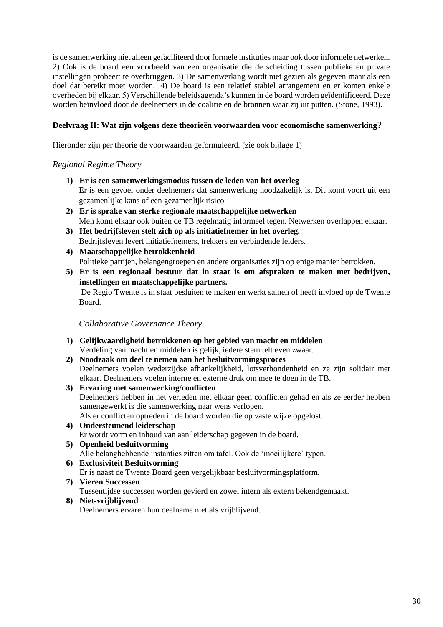is de samenwerking niet alleen gefaciliteerd door formele instituties maar ook door informele netwerken. 2) Ook is de board een voorbeeld van een organisatie die de scheiding tussen publieke en private instellingen probeert te overbruggen. 3) De samenwerking wordt niet gezien als gegeven maar als een doel dat bereikt moet worden. 4) De board is een relatief stabiel arrangement en er komen enkele overheden bij elkaar. 5) Verschillende beleidsagenda's kunnen in de board worden geïdentificeerd. Deze worden beïnvloed door de deelnemers in de coalitie en de bronnen waar zij uit putten. (Stone, 1993).

## **Deelvraag II: Wat zijn volgens deze theorieën voorwaarden voor economische samenwerking?**

Hieronder zijn per theorie de voorwaarden geformuleerd. (zie ook bijlage 1)

#### *Regional Regime Theory*

- **1) Er is een samenwerkingsmodus tussen de leden van het overleg** Er is een gevoel onder deelnemers dat samenwerking noodzakelijk is. Dit komt voort uit een gezamenlijke kans of een gezamenlijk risico
- **2) Er is sprake van sterke regionale maatschappelijke netwerken**  Men komt elkaar ook buiten de TB regelmatig informeel tegen. Netwerken overlappen elkaar.
- **3) Het bedrijfsleven stelt zich op als initiatiefnemer in het overleg.** Bedrijfsleven levert initiatiefnemers, trekkers en verbindende leiders.
- **4) Maatschappelijke betrokkenheid** Politieke partijen, belangengroepen en andere organisaties zijn op enige manier betrokken.
- **5) Er is een regionaal bestuur dat in staat is om afspraken te maken met bedrijven, instellingen en maatschappelijke partners.** De Regio Twente is in staat besluiten te maken en werkt samen of heeft invloed op de Twente Board.

*Collaborative Governance Theory*

- **1) Gelijkwaardigheid betrokkenen op het gebied van macht en middelen**  Verdeling van macht en middelen is gelijk, iedere stem telt even zwaar.
- **2) Noodzaak om deel te nemen aan het besluitvormingsproces** Deelnemers voelen wederzijdse afhankelijkheid, lotsverbondenheid en ze zijn solidair met elkaar. Deelnemers voelen interne en externe druk om mee te doen in de TB.
- **3) Ervaring met samenwerking/conflicten** Deelnemers hebben in het verleden met elkaar geen conflicten gehad en als ze eerder hebben samengewerkt is die samenwerking naar wens verlopen. Als er conflicten optreden in de board worden die op vaste wijze opgelost.
- **4) Ondersteunend leiderschap** Er wordt vorm en inhoud van aan leiderschap gegeven in de board.
- **5) Openheid besluitvorming** Alle belanghebbende instanties zitten om tafel. Ook de 'moeilijkere' typen.
- **6) Exclusiviteit Besluitvorming** Er is naast de Twente Board geen vergelijkbaar besluitvormingsplatform.
- **7) Vieren Successen**  Tussentijdse successen worden gevierd en zowel intern als extern bekendgemaakt.
- **8) Niet-vrijblijvend**

Deelnemers ervaren hun deelname niet als vrijblijvend.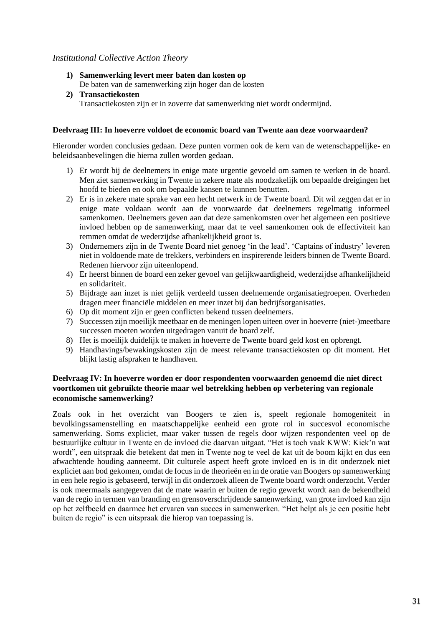#### *Institutional Collective Action Theory*

- **1) Samenwerking levert meer baten dan kosten op** De baten van de samenwerking zijn hoger dan de kosten
- **2) Transactiekosten** Transactiekosten zijn er in zoverre dat samenwerking niet wordt ondermijnd.

#### **Deelvraag III: In hoeverre voldoet de economic board van Twente aan deze voorwaarden?**

Hieronder worden conclusies gedaan. Deze punten vormen ook de kern van de wetenschappelijke- en beleidsaanbevelingen die hierna zullen worden gedaan.

- 1) Er wordt bij de deelnemers in enige mate urgentie gevoeld om samen te werken in de board. Men ziet samenwerking in Twente in zekere mate als noodzakelijk om bepaalde dreigingen het hoofd te bieden en ook om bepaalde kansen te kunnen benutten.
- 2) Er is in zekere mate sprake van een hecht netwerk in de Twente board. Dit wil zeggen dat er in enige mate voldaan wordt aan de voorwaarde dat deelnemers regelmatig informeel samenkomen. Deelnemers geven aan dat deze samenkomsten over het algemeen een positieve invloed hebben op de samenwerking, maar dat te veel samenkomen ook de effectiviteit kan remmen omdat de wederzijdse afhankelijkheid groot is.
- 3) Ondernemers zijn in de Twente Board niet genoeg 'in the lead'. 'Captains of industry' leveren niet in voldoende mate de trekkers, verbinders en inspirerende leiders binnen de Twente Board. Redenen hiervoor zijn uiteenlopend.
- 4) Er heerst binnen de board een zeker gevoel van gelijkwaardigheid, wederzijdse afhankelijkheid en solidariteit.
- 5) Bijdrage aan inzet is niet gelijk verdeeld tussen deelnemende organisatiegroepen. Overheden dragen meer financiële middelen en meer inzet bij dan bedrijfsorganisaties.
- 6) Op dit moment zijn er geen conflicten bekend tussen deelnemers.
- 7) Successen zijn moeilijk meetbaar en de meningen lopen uiteen over in hoeverre (niet-)meetbare successen moeten worden uitgedragen vanuit de board zelf.
- 8) Het is moeilijk duidelijk te maken in hoeverre de Twente board geld kost en opbrengt.
- 9) Handhavings/bewakingskosten zijn de meest relevante transactiekosten op dit moment. Het blijkt lastig afspraken te handhaven.

#### **Deelvraag IV: In hoeverre worden er door respondenten voorwaarden genoemd die niet direct voortkomen uit gebruikte theorie maar wel betrekking hebben op verbetering van regionale economische samenwerking?**

<span id="page-31-0"></span>Zoals ook in het overzicht van Boogers te zien is, speelt regionale homogeniteit in bevolkingssamenstelling en maatschappelijke eenheid een grote rol in succesvol economische samenwerking. Soms expliciet, maar vaker tussen de regels door wijzen respondenten veel op de bestuurlijke cultuur in Twente en de invloed die daarvan uitgaat. "Het is toch vaak KWW: Kiek'n wat wordt", een uitspraak die betekent dat men in Twente nog te veel de kat uit de boom kijkt en dus een afwachtende houding aanneemt. Dit culturele aspect heeft grote invloed en is in dit onderzoek niet expliciet aan bod gekomen, omdat de focus in de theorieën en in de oratie van Boogers op samenwerking in een hele regio is gebaseerd, terwijl in dit onderzoek alleen de Twente board wordt onderzocht. Verder is ook meermaals aangegeven dat de mate waarin er buiten de regio gewerkt wordt aan de bekendheid van de regio in termen van branding en grensoverschrijdende samenwerking, van grote invloed kan zijn op het zelfbeeld en daarmee het ervaren van succes in samenwerken. "Het helpt als je een positie hebt buiten de regio" is een uitspraak die hierop van toepassing is.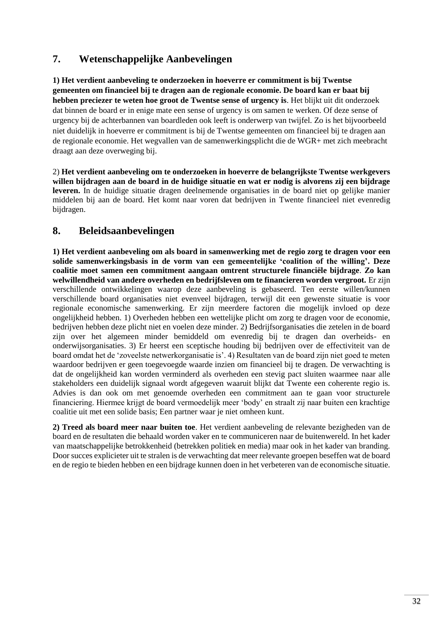# **7. Wetenschappelijke Aanbevelingen**

**1) Het verdient aanbeveling te onderzoeken in hoeverre er commitment is bij Twentse gemeenten om financieel bij te dragen aan de regionale economie. De board kan er baat bij hebben preciezer te weten hoe groot de Twentse sense of urgency is**. Het blijkt uit dit onderzoek dat binnen de board er in enige mate een sense of urgency is om samen te werken. Of deze sense of urgency bij de achterbannen van boardleden ook leeft is onderwerp van twijfel. Zo is het bijvoorbeeld niet duidelijk in hoeverre er commitment is bij de Twentse gemeenten om financieel bij te dragen aan de regionale economie. Het wegvallen van de samenwerkingsplicht die de WGR+ met zich meebracht draagt aan deze overweging bij.

2) **Het verdient aanbeveling om te onderzoeken in hoeverre de belangrijkste Twentse werkgevers willen bijdragen aan de board in de huidige situatie en wat er nodig is alvorens zij een bijdrage leveren.** In de huidige situatie dragen deelnemende organisaties in de board niet op gelijke manier middelen bij aan de board. Het komt naar voren dat bedrijven in Twente financieel niet evenredig bijdragen.

# <span id="page-32-0"></span>**8. Beleidsaanbevelingen**

**1) Het verdient aanbeveling om als board in samenwerking met de regio zorg te dragen voor een solide samenwerkingsbasis in de vorm van een gemeentelijke 'coalition of the willing'. Deze coalitie moet samen een commitment aangaan omtrent structurele financiële bijdrage**. **Zo kan welwillendheid van andere overheden en bedrijfsleven om te financieren worden vergroot.** Er zijn verschillende ontwikkelingen waarop deze aanbeveling is gebaseerd. Ten eerste willen/kunnen verschillende board organisaties niet evenveel bijdragen, terwijl dit een gewenste situatie is voor regionale economische samenwerking. Er zijn meerdere factoren die mogelijk invloed op deze ongelijkheid hebben. 1) Overheden hebben een wettelijke plicht om zorg te dragen voor de economie, bedrijven hebben deze plicht niet en voelen deze minder. 2) Bedrijfsorganisaties die zetelen in de board zijn over het algemeen minder bemiddeld om evenredig bij te dragen dan overheids- en onderwijsorganisaties. 3) Er heerst een sceptische houding bij bedrijven over de effectiviteit van de board omdat het de 'zoveelste netwerkorganisatie is'. 4) Resultaten van de board zijn niet goed te meten waardoor bedrijven er geen toegevoegde waarde inzien om financieel bij te dragen. De verwachting is dat de ongelijkheid kan worden verminderd als overheden een stevig pact sluiten waarmee naar alle stakeholders een duidelijk signaal wordt afgegeven waaruit blijkt dat Twente een coherente regio is. Advies is dan ook om met genoemde overheden een commitment aan te gaan voor structurele financiering. Hiermee krijgt de board vermoedelijk meer 'body' en straalt zij naar buiten een krachtige coalitie uit met een solide basis; Een partner waar je niet omheen kunt.

<span id="page-32-1"></span>**2) Treed als board meer naar buiten toe**. Het verdient aanbeveling de relevante bezigheden van de board en de resultaten die behaald worden vaker en te communiceren naar de buitenwereld. In het kader van maatschappelijke betrokkenheid (betrekken politiek en media) maar ook in het kader van branding. Door succes explicieter uit te stralen is de verwachting dat meer relevante groepen beseffen wat de board en de regio te bieden hebben en een bijdrage kunnen doen in het verbeteren van de economische situatie.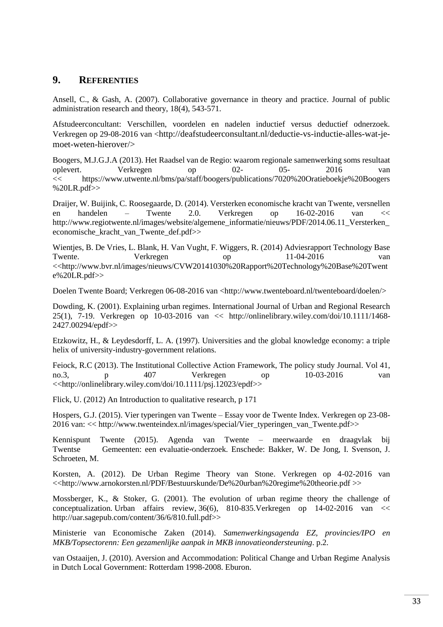## **9. REFERENTIES**

Ansell, C., & Gash, A. (2007). Collaborative governance in theory and practice. Journal of public administration research and theory, 18(4), 543-571.

Afstudeerconcultant: Verschillen, voordelen en nadelen inductief versus deductief odnerzoek. Verkregen op 29-08-2016 van <http://deafstudeerconsultant.nl/deductie-vs-inductie-alles-wat-jemoet-weten-hierover/>

Boogers, M.J.G.J.A (2013). Het Raadsel van de Regio: waarom regionale samenwerking soms resultaat oplevert. Verkregen op 02- 05- 2016 van << https://www.utwente.nl/bms/pa/staff/boogers/publications/7020%20Oratieboekje%20Boogers %20LR.pdf>>

Draijer, W. Buijink, C. Roosegaarde, D. (2014). Versterken economische kracht van Twente, versnellen en handelen – Twente 2.0. Verkregen op 16-02-2016 van << http://www.regiotwente.nl/images/website/algemene\_informatie/nieuws/PDF/2014.06.11\_Versterken economische\_kracht\_van\_Twente\_def.pdf>>

Wientjes, B. De Vries, L. Blank, H. Van Vught, F. Wiggers, R. (2014) Adviesrapport Technology Base Twente. Verkregen op 11-04-2016 van <<http://www.bvr.nl/images/nieuws/CVW20141030%20Rapport%20Technology%20Base%20Twent e%20LR.pdf>>

Doelen Twente Board; Verkregen 06-08-2016 van <http://www.twenteboard.nl/twenteboard/doelen/>

Dowding, K. (2001). Explaining urban regimes. International Journal of Urban and Regional Research 25(1), 7-19. Verkregen op 10-03-2016 van << http://onlinelibrary.wiley.com/doi/10.1111/1468- 2427.00294/epdf>>

Etzkowitz, H., & Leydesdorff, L. A. (1997). Universities and the global knowledge economy: a triple helix of university-industry-government relations.

Feiock, R.C (2013). The Institutional Collective Action Framework, The policy study Journal. Vol 41, no.3, p 407 Verkregen op 10-03-2016 van <<http://onlinelibrary.wiley.com/doi/10.1111/psj.12023/epdf>>

Flick, U. (2012) An Introduction to qualitative research, p 171

Hospers, G.J. (2015). Vier typeringen van Twente – Essay voor de Twente Index. Verkregen op 23-08- 2016 van: << http://www.twenteindex.nl/images/special/Vier\_typeringen\_van\_Twente.pdf>>

Kennispunt Twente (2015). Agenda van Twente – meerwaarde en draagvlak bij Twentse Gemeenten: een evaluatie-onderzoek. Enschede: Bakker, W. De Jong, I. Svenson, J. Schroeten, M.

Korsten, A. (2012). De Urban Regime Theory van Stone. Verkregen op 4-02-2016 van <<http://www.arnokorsten.nl/PDF/Bestuurskunde/De%20urban%20regime%20theorie.pdf >>

Mossberger, K., & Stoker, G. (2001). The evolution of urban regime theory the challenge of conceptualization. Urban affairs review, 36(6), 810-835.Verkregen op 14-02-2016 van << http://uar.sagepub.com/content/36/6/810.full.pdf>>

Ministerie van Economische Zaken (2014). *Samenwerkingsagenda EZ, provincies/IPO en MKB/Topsectorenn: Een gezamenlijke aanpak in MKB innovatieondersteuning*. p.2.

van Ostaaijen, J. (2010). Aversion and Accommodation: Political Change and Urban Regime Analysis in Dutch Local Government: Rotterdam 1998-2008. Eburon.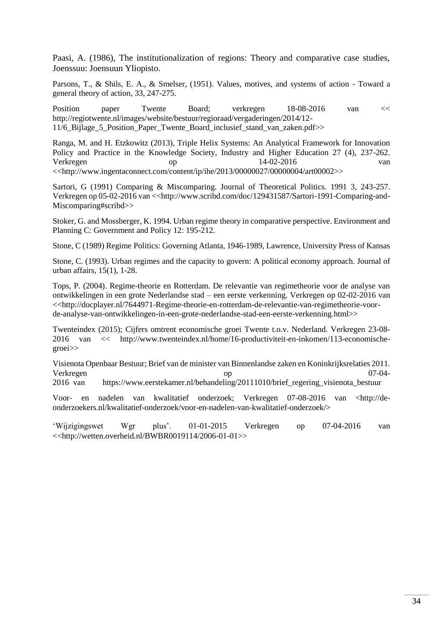Paasi, A. (1986), The institutionalization of regions: Theory and comparative case studies, Joenssuu: Joensuun Yliopisto.

Parsons, T., & Shils, E. A., & Smelser, (1951). Values, motives, and systems of action - Toward a general theory of action, 33, 247-275.

Position paper Twente Board; verkregen 18-08-2016 van << http://regiotwente.nl/images/website/bestuur/regioraad/vergaderingen/2014/12- 11/6\_Bijlage\_5\_Position\_Paper\_Twente\_Board\_inclusief\_stand\_van\_zaken.pdf>>

Ranga, M. and H. Etzkowitz (2013), Triple Helix Systems: An Analytical Framework for Innovation Policy and Practice in the Knowledge Society, Industry and Higher Education 27 (4), 237-262. Verkregen op 14-02-2016 van <<http://www.ingentaconnect.com/content/ip/ihe/2013/00000027/00000004/art00002>>

Sartori, G (1991) Comparing & Miscomparing. Journal of Theoretical Politics. 1991 3, 243-257. Verkregen op 05-02-2016 van <<http://www.scribd.com/doc/129431587/Sartori-1991-Comparing-and-Miscomparing#scribd>>

Stoker, G. and Mossberger, K. 1994. Urban regime theory in comparative perspective. Environment and Planning C: Government and Policy 12: 195-212.

Stone, C (1989) Regime Politics: Governing Atlanta, 1946-1989, Lawrence, University Press of Kansas

Stone, C. (1993). Urban regimes and the capacity to govern: A political economy approach. Journal of urban affairs, 15(1), 1-28.

Tops, P. (2004). Regime-theorie en Rotterdam. De relevantie van regimetheorie voor de analyse van ontwikkelingen in een grote Nederlandse stad – een eerste verkenning. Verkregen op 02-02-2016 van <<http://docplayer.nl/7644971-Regime-theorie-en-rotterdam-de-relevantie-van-regimetheorie-voorde-analyse-van-ontwikkelingen-in-een-grote-nederlandse-stad-een-eerste-verkenning.html>>

Twenteindex (2015); Cijfers omtrent economische groei Twente t.o.v. Nederland. Verkregen 23-08- 2016 van << http://www.twenteindex.nl/home/16-productiviteit-en-inkomen/113-economischegroei>>

Visienota Openbaar Bestuur; Brief van de minister van Binnenlandse zaken en Koninkrijksrelaties 2011. Verkregen op 07-04-

2016 van https://www.eerstekamer.nl/behandeling/20111010/brief\_regering\_visienota\_bestuur

Voor- en nadelen van kwalitatief onderzoek; Verkregen 07-08-2016 van <http://deonderzoekers.nl/kwalitatief-onderzoek/voor-en-nadelen-van-kwalitatief-onderzoek/>

<span id="page-34-0"></span>'Wijzigingswet Wgr plus'. 01-01-2015 Verkregen op 07-04-2016 van <<http://wetten.overheid.nl/BWBR0019114/2006-01-01>>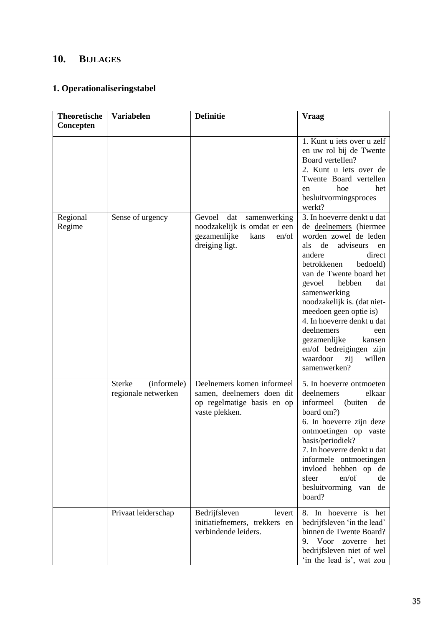# **10. BIJLAGES**

# **1. Operationaliseringstabel**

| <b>Theoretische</b><br>Concepten | Variabelen                                          | <b>Definitie</b>                                                                                                 | <b>Vraag</b>                                                                                                                                                                                                                                                                                                                                                                                                                                     |
|----------------------------------|-----------------------------------------------------|------------------------------------------------------------------------------------------------------------------|--------------------------------------------------------------------------------------------------------------------------------------------------------------------------------------------------------------------------------------------------------------------------------------------------------------------------------------------------------------------------------------------------------------------------------------------------|
|                                  |                                                     |                                                                                                                  | 1. Kunt u jets over u zelf<br>en uw rol bij de Twente<br>Board vertellen?<br>2. Kunt u iets over de<br>Twente Board vertellen<br>het<br>hoe<br>en<br>besluitvormingsproces<br>werkt?                                                                                                                                                                                                                                                             |
| Regional<br>Regime               | Sense of urgency                                    | Gevoel<br>dat<br>samenwerking<br>noodzakelijk is omdat er een<br>gezamenlijke<br>kans<br>en/of<br>dreiging ligt. | 3. In hoeverre denkt u dat<br>de deelnemers (hiermee<br>worden zowel de leden<br>de<br>adviseurs<br>als<br>en<br>andere<br>direct<br>betrokkenen<br>bedoeld)<br>van de Twente board het<br>dat<br>gevoel<br>hebben<br>samenwerking<br>noodzakelijk is. (dat niet-<br>meedoen geen optie is)<br>4. In hoeverre denkt u dat<br>deelnemers<br>een<br>gezamenlijke<br>kansen<br>en/of bedreigingen zijn<br>waardoor<br>willen<br>zij<br>samenwerken? |
|                                  | (informele)<br><b>Sterke</b><br>regionale netwerken | Deelnemers komen informeel<br>samen, deelnemers doen dit<br>op regelmatige basis en op<br>vaste plekken.         | 5. In hoeverre ontmoeten<br>deelnemers<br>elkaar<br>informeel<br>(buiten<br>de<br>board om?)<br>6. In hoeverre zijn deze<br>ontmoetingen op<br>vaste<br>basis/periodiek?<br>7. In hoeverre denkt u dat<br>informele ontmoetingen<br>invloed hebben op de<br>en/of<br>sfeer<br>de<br>besluitvorming van<br>de<br>board?                                                                                                                           |
|                                  | Privaat leiderschap                                 | Bedrijfsleven<br>levert<br>initiatiefnemers, trekkers en<br>verbindende leiders.                                 | 8. In hoeverre is het<br>bedrijfsleven 'in the lead'<br>binnen de Twente Board?<br>9.<br>Voor zoverre het<br>bedrijfsleven niet of wel<br>'in the lead is', wat zou                                                                                                                                                                                                                                                                              |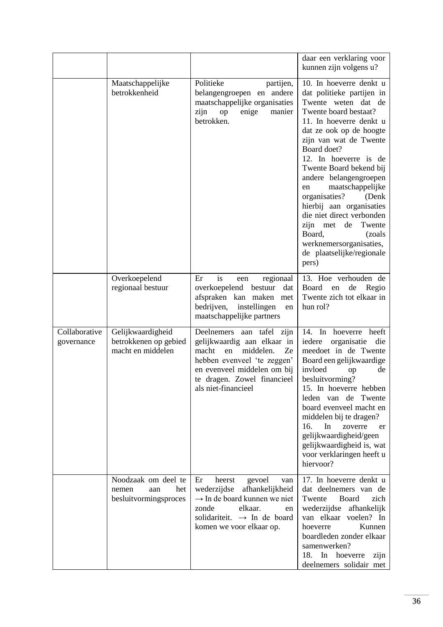|                             |                                                                     |                                                                                                                                                                                                                | daar een verklaring voor<br>kunnen zijn volgens u?                                                                                                                                                                                                                                                                                                                                                                                                                                                                   |
|-----------------------------|---------------------------------------------------------------------|----------------------------------------------------------------------------------------------------------------------------------------------------------------------------------------------------------------|----------------------------------------------------------------------------------------------------------------------------------------------------------------------------------------------------------------------------------------------------------------------------------------------------------------------------------------------------------------------------------------------------------------------------------------------------------------------------------------------------------------------|
|                             | Maatschappelijke<br>betrokkenheid                                   | Politieke<br>partijen,<br>belangengroepen en andere<br>maatschappelijke organisaties<br>zijn<br>enige<br>op<br>manier<br>betrokken.                                                                            | 10. In hoeverre denkt u<br>dat politieke partijen in<br>Twente weten dat de<br>Twente board bestaat?<br>11. In hoeverre denkt u<br>dat ze ook op de hoogte<br>zijn van wat de Twente<br>Board doet?<br>12. In hoeverre is de<br>Twente Board bekend bij<br>andere belangengroepen<br>maatschappelijke<br>en<br>organisaties?<br>(Denk)<br>hierbij aan organisaties<br>die niet direct verbonden<br>zijn<br>de<br>Twente<br>met<br>Board,<br>(zoals)<br>werknemersorganisaties,<br>de plaatselijke/regionale<br>pers) |
|                             | Overkoepelend<br>regionaal bestuur                                  | is<br>Er<br>regionaal<br>een<br>overkoepelend<br>bestuur<br>dat<br>afspraken kan maken<br>met<br>bedrijven,<br>instellingen<br>en<br>maatschappelijke partners                                                 | 13. Hoe verhouden de<br>Board<br>de<br>Regio<br>en<br>Twente zich tot elkaar in<br>hun rol?                                                                                                                                                                                                                                                                                                                                                                                                                          |
| Collaborative<br>governance | Gelijkwaardigheid<br>betrokkenen op gebied<br>macht en middelen     | Deelnemers aan tafel zijn<br>gelijkwaardig aan elkaar in<br>macht<br>middelen.<br>en<br>Ze<br>hebben evenveel 'te zeggen'<br>en evenveel middelen om bij<br>te dragen. Zowel financieel<br>als niet-financieel | In hoeverre<br>heeft<br>14.<br>iedere<br>organisatie<br>die<br>meedoet in de Twente<br>Board een gelijkwaardige<br>invloed<br>de<br>op<br>besluitvorming?<br>15. In hoeverre hebben<br>van de<br>Twente<br>leden<br>board evenveel macht en<br>middelen bij te dragen?<br>16.<br>In<br>zoverre<br>er<br>gelijkwaardigheid/geen<br>gelijkwaardigheid is, wat<br>voor verklaringen heeft u<br>hiervoor?                                                                                                                |
|                             | Noodzaak om deel te<br>het<br>nemen<br>aan<br>besluitvormingsproces | Er<br>heerst<br>gevoel<br>van<br>wederzijdse<br>afhankelijkheid<br>$\rightarrow$ In de board kunnen we niet<br>zonde<br>elkaar.<br>en<br>solidariteit. $\rightarrow$ In de board<br>komen we voor elkaar op.   | 17. In hoeverre denkt u<br>dat deelnemers van de<br>Board<br>Twente<br>zich<br>wederzijdse<br>afhankelijk<br>van elkaar voelen? In<br>Kunnen<br>hoeverre<br>boardleden zonder elkaar<br>samenwerken?<br>18. In hoeverre<br>zijn<br>deelnemers solidair met                                                                                                                                                                                                                                                           |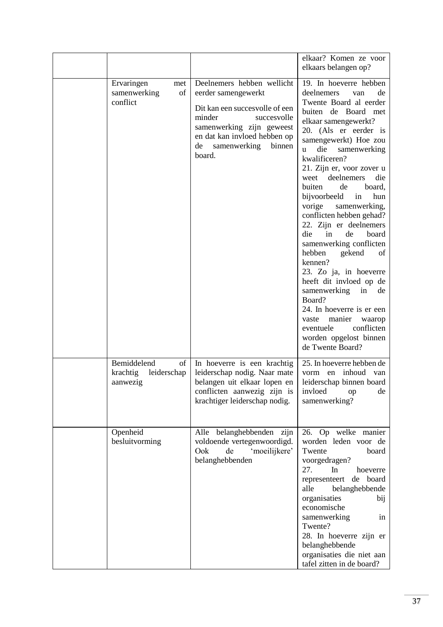|                                                          |                                                                                                                                                                                                                  | elkaar? Komen ze voor<br>elkaars belangen op?                                                                                                                                                                                                                                                                                                                                                                                                                                                                                                                                                                                                                                                                                                         |
|----------------------------------------------------------|------------------------------------------------------------------------------------------------------------------------------------------------------------------------------------------------------------------|-------------------------------------------------------------------------------------------------------------------------------------------------------------------------------------------------------------------------------------------------------------------------------------------------------------------------------------------------------------------------------------------------------------------------------------------------------------------------------------------------------------------------------------------------------------------------------------------------------------------------------------------------------------------------------------------------------------------------------------------------------|
| Ervaringen<br>met<br>of<br>samenwerking<br>conflict      | Deelnemers hebben wellicht<br>eerder samengewerkt<br>Dit kan een succesvolle of een<br>minder<br>succesvolle<br>samenwerking zijn geweest<br>en dat kan invloed hebben op<br>de samenwerking<br>binnen<br>board. | 19. In hoeverre hebben<br>deelnemers<br>de<br>van<br>Twente Board al eerder<br>buiten de Board met<br>elkaar samengewerkt?<br>20. (Als er eerder is<br>samengewerkt) Hoe zou<br>die<br>samenwerking<br>u<br>kwalificeren?<br>21. Zijn er, voor zover u<br>deelnemers<br>die<br>weet<br>buiten<br>de<br>board,<br>bijvoorbeeld<br>in<br>hun<br>vorige<br>samenwerking,<br>conflicten hebben gehad?<br>22. Zijn er deelnemers<br>die<br>in<br>de<br>board<br>samenwerking conflicten<br>hebben<br>gekend<br>of<br>kennen?<br>23. Zo ja, in hoeverre<br>heeft dit invloed op de<br>samenwerking<br>in<br>de<br>Board?<br>24. In hoeverre is er een<br>manier<br>vaste<br>waarop<br>conflicten<br>eventuele<br>worden opgelost binnen<br>de Twente Board? |
| Bemiddelend<br>of<br>leiderschap<br>krachtig<br>aanwezig | In hoeverre is een krachtig<br>leiderschap nodig. Naar mate<br>belangen uit elkaar lopen en<br>conflicten aanwezig zijn is<br>krachtiger leiderschap nodig.                                                      | 25. In hoeverre hebben de<br>inhoud<br>vorm en<br>van<br>leiderschap binnen board<br>invloed<br>de<br>op<br>samenwerking?                                                                                                                                                                                                                                                                                                                                                                                                                                                                                                                                                                                                                             |
| Openheid<br>besluitvorming                               | Alle belanghebbenden zijn<br>voldoende vertegenwoordigd.<br>Ook<br>'moeilijkere'<br>de<br>belanghebbenden                                                                                                        | 26. Op welke manier<br>worden leden voor de<br>Twente<br>board<br>voorgedragen?<br>27.<br>In<br>hoeverre<br>de board<br>representeert<br>alle<br>belanghebbende<br>organisaties<br>bij<br>economische<br>samenwerking<br>in<br>Twente?<br>28. In hoeverre zijn er<br>belanghebbende<br>organisaties die niet aan<br>tafel zitten in de board?                                                                                                                                                                                                                                                                                                                                                                                                         |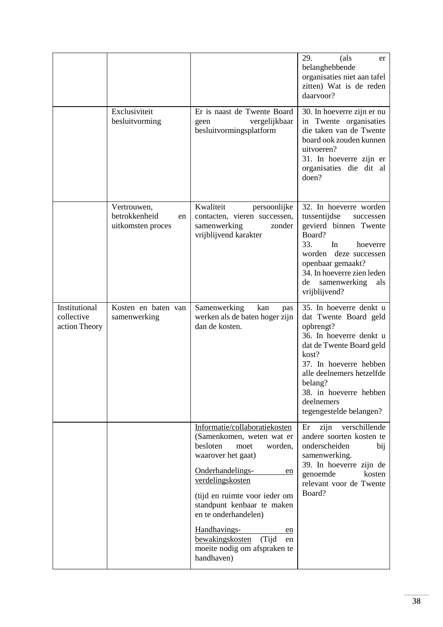|                                              |                                                         |                                                                                                                                                                                                                                                                                                                                                            | (als<br>29.<br>er<br>belanghebbende<br>organisaties niet aan tafel<br>zitten) Wat is de reden<br>daarvoor?                                                                                                                                                         |
|----------------------------------------------|---------------------------------------------------------|------------------------------------------------------------------------------------------------------------------------------------------------------------------------------------------------------------------------------------------------------------------------------------------------------------------------------------------------------------|--------------------------------------------------------------------------------------------------------------------------------------------------------------------------------------------------------------------------------------------------------------------|
|                                              | Exclusiviteit<br>besluitvorming                         | Er is naast de Twente Board<br>vergelijkbaar<br>geen<br>besluitvormingsplatform                                                                                                                                                                                                                                                                            | 30. In hoeverre zijn er nu<br>Twente organisaties<br>1n<br>die taken van de Twente<br>board ook zouden kunnen<br>uitvoeren?<br>31. In hoeverre zijn er<br>organisaties die dit al<br>doen?                                                                         |
|                                              | Vertrouwen,<br>betrokkenheid<br>en<br>uitkomsten proces | Kwaliteit<br>persoonlijke<br>contacten, vieren successen,<br>samenwerking<br>zonder<br>vrijblijvend karakter                                                                                                                                                                                                                                               | 32. In hoeverre worden<br>tussentijdse<br>successen<br>gevierd binnen Twente<br>Board?<br>33.<br>In<br>hoeverre<br>worden<br>deze successen<br>openbaar gemaakt?<br>34. In hoeverre zien leden<br>samenwerking<br>als<br>de<br>vrijblijvend?                       |
| Institutional<br>collective<br>action Theory | Kosten en baten van<br>samenwerking                     | Samenwerking<br>kan<br>pas<br>werken als de baten hoger zijn<br>dan de kosten.                                                                                                                                                                                                                                                                             | 35. In hoeverre denkt u<br>dat Twente Board geld<br>opbrengt?<br>36. In hoeverre denkt u<br>dat de Twente Board geld<br>kost?<br>37. In hoeverre hebben<br>alle deelnemers hetzelfde<br>belang?<br>38. in hoeverre hebben<br>deelnemers<br>tegengestelde belangen? |
|                                              |                                                         | Informatie/collaboratiekosten<br>(Samenkomen, weten wat er<br>besloten<br>moet<br>worden,<br>waarover het gaat)<br>Onderhandelings-<br>en<br>verdelingskosten<br>(tijd en ruimte voor ieder om<br>standpunt kenbaar te maken<br>en te onderhandelen)<br>Handhavings-<br>en<br>bewakingskosten<br>(Tijd<br>en<br>moeite nodig om afspraken te<br>handhaven) | zijn<br>verschillende<br>Er<br>andere soorten kosten te<br>onderscheiden<br>bij<br>samenwerking.<br>39. In hoeverre zijn de<br>genoemde<br>kosten<br>relevant voor de Twente<br>Board?                                                                             |